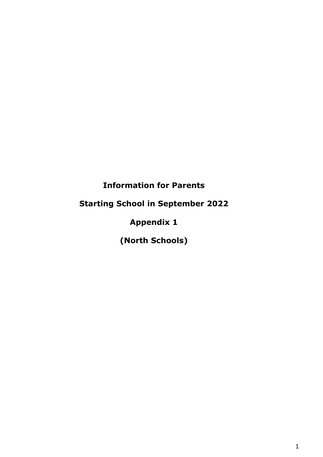# **Information for Parents**

# **Starting School in September 2022**

# **Appendix 1**

**(North Schools)**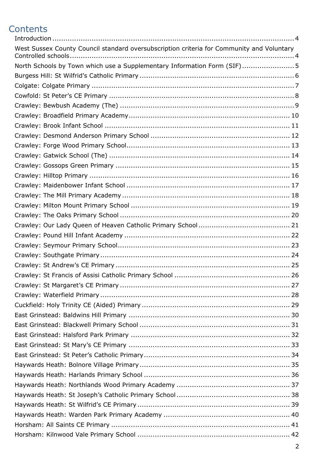# **Contents**

| West Sussex County Council standard oversubscription criteria for Community and Voluntary |
|-------------------------------------------------------------------------------------------|
| North Schools by Town which use a Supplementary Information Form (SIF)5                   |
|                                                                                           |
|                                                                                           |
|                                                                                           |
|                                                                                           |
|                                                                                           |
|                                                                                           |
|                                                                                           |
|                                                                                           |
|                                                                                           |
|                                                                                           |
|                                                                                           |
|                                                                                           |
|                                                                                           |
|                                                                                           |
|                                                                                           |
|                                                                                           |
|                                                                                           |
|                                                                                           |
|                                                                                           |
|                                                                                           |
|                                                                                           |
|                                                                                           |
|                                                                                           |
|                                                                                           |
|                                                                                           |
|                                                                                           |
|                                                                                           |
|                                                                                           |
|                                                                                           |
|                                                                                           |
|                                                                                           |
|                                                                                           |
|                                                                                           |
|                                                                                           |
|                                                                                           |
|                                                                                           |
|                                                                                           |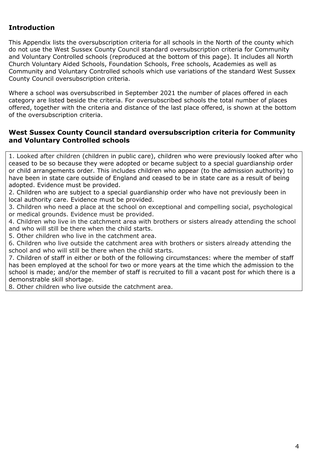### <span id="page-3-0"></span>**Introduction**

This Appendix lists the oversubscription criteria for all schools in the North of the county which do not use the West Sussex County Council standard oversubscription criteria for Community and Voluntary Controlled schools (reproduced at the bottom of this page). It includes all North Church Voluntary Aided Schools, Foundation Schools, Free schools, Academies as well as Community and Voluntary Controlled schools which use variations of the standard West Sussex County Council oversubscription criteria.

Where a school was oversubscribed in September 2021 the number of places offered in each category are listed beside the criteria. For oversubscribed schools the total number of places offered, together with the criteria and distance of the last place offered, is shown at the bottom of the oversubscription criteria.

#### <span id="page-3-1"></span>**West Sussex County Council standard oversubscription criteria for Community and Voluntary Controlled schools**

1. Looked after children (children in public care), children who were previously looked after who ceased to be so because they were adopted or became subject to a special guardianship order or child arrangements order. This includes children who appear (to the admission authority) to have been in state care outside of England and ceased to be in state care as a result of being adopted. Evidence must be provided.

2. Children who are subject to a special guardianship order who have not previously been in local authority care. Evidence must be provided.

3. Children who need a place at the school on exceptional and compelling social, psychological or medical grounds. Evidence must be provided.

4. Children who live in the catchment area with brothers or sisters already attending the school and who will still be there when the child starts.

5. Other children who live in the catchment area.

6. Children who live outside the catchment area with brothers or sisters already attending the school and who will still be there when the child starts.

7. Children of staff in either or both of the following circumstances: where the member of staff has been employed at the school for two or more years at the time which the admission to the school is made; and/or the member of staff is recruited to fill a vacant post for which there is a demonstrable skill shortage.

8. Other children who live outside the catchment area.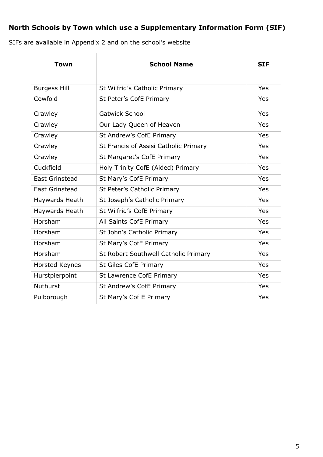## <span id="page-4-0"></span>**North Schools by Town which use a Supplementary Information Form (SIF)**

SIFs are available in Appendix 2 and on the school's website

| <b>Town</b>           | <b>School Name</b>                    | <b>SIF</b> |
|-----------------------|---------------------------------------|------------|
| <b>Burgess Hill</b>   | St Wilfrid's Catholic Primary         | Yes        |
| Cowfold               | St Peter's CofE Primary               | Yes        |
| Crawley               | <b>Gatwick School</b>                 | Yes        |
| Crawley               | Our Lady Queen of Heaven              | Yes        |
| Crawley               | St Andrew's CofE Primary              | Yes        |
| Crawley               | St Francis of Assisi Catholic Primary | Yes        |
| Crawley               | St Margaret's CofE Primary            | Yes        |
| Cuckfield             | Holy Trinity CofE (Aided) Primary     | Yes        |
| <b>East Grinstead</b> | St Mary's CofE Primary                | Yes        |
| <b>East Grinstead</b> | St Peter's Catholic Primary           | Yes        |
| Haywards Heath        | St Joseph's Catholic Primary          | Yes        |
| Haywards Heath        | St Wilfrid's CofE Primary             | Yes        |
| Horsham               | All Saints CofE Primary               | Yes        |
| Horsham               | St John's Catholic Primary            | Yes        |
| Horsham               | St Mary's CofE Primary                | Yes        |
| Horsham               | St Robert Southwell Catholic Primary  | Yes        |
| <b>Horsted Keynes</b> | <b>St Giles CofE Primary</b>          | Yes        |
| Hurstpierpoint        | <b>St Lawrence CofE Primary</b>       | Yes        |
| <b>Nuthurst</b>       | St Andrew's CofE Primary              | Yes        |
| Pulborough            | St Mary's Cof E Primary               | Yes        |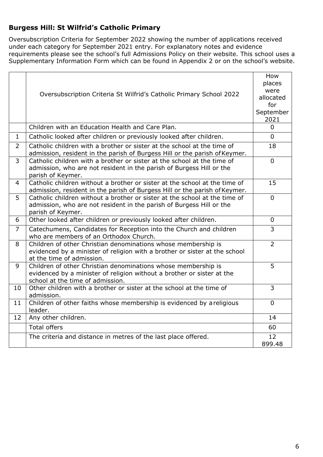### <span id="page-5-0"></span>**Burgess Hill: St Wilfrid's Catholic Primary**

Oversubscription Criteria for September 2022 showing the number of applications received under each category for September 2021 entry. For explanatory notes and evidence requirements please see the school's full Admissions Policy on their website. This school uses a Supplementary Information Form which can be found in Appendix 2 or on the school's website.

|                | Oversubscription Criteria St Wilfrid's Catholic Primary School 2022                                                                                                         | How<br>places<br>were<br>allocated<br>for<br>September |
|----------------|-----------------------------------------------------------------------------------------------------------------------------------------------------------------------------|--------------------------------------------------------|
|                |                                                                                                                                                                             | 2021                                                   |
|                | Children with an Education Health and Care Plan.                                                                                                                            | $\Omega$                                               |
| $\mathbf{1}$   | Catholic looked after children or previously looked after children.                                                                                                         | $\Omega$                                               |
| $\overline{2}$ | Catholic children with a brother or sister at the school at the time of<br>admission, resident in the parish of Burgess Hill or the parish of Keymer.                       | 18                                                     |
| $\overline{3}$ | Catholic children with a brother or sister at the school at the time of<br>admission, who are not resident in the parish of Burgess Hill or the<br>parish of Keymer.        | $\Omega$                                               |
| 4              | Catholic children without a brother or sister at the school at the time of<br>admission, resident in the parish of Burgess Hill or the parish of Keymer.                    | 15                                                     |
| 5              | Catholic children without a brother or sister at the school at the time of<br>admission, who are not resident in the parish of Burgess Hill or the<br>parish of Keymer.     | $\overline{0}$                                         |
| 6              | Other looked after children or previously looked after children.                                                                                                            | $\mathbf 0$                                            |
| $\overline{7}$ | Catechumens, Candidates for Reception into the Church and children<br>who are members of an Orthodox Church.                                                                | $\overline{3}$                                         |
| 8              | Children of other Christian denominations whose membership is<br>evidenced by a minister of religion with a brother or sister at the school<br>at the time of admission.    | $\overline{2}$                                         |
| 9              | Children of other Christian denominations whose membership is<br>evidenced by a minister of religion without a brother or sister at the<br>school at the time of admission. | 5                                                      |
| 10             | Other children with a brother or sister at the school at the time of<br>admission.                                                                                          | 3                                                      |
| 11             | Children of other faiths whose membership is evidenced by a religious<br>leader.                                                                                            | $\mathbf{0}$                                           |
| 12             | Any other children.                                                                                                                                                         | 14                                                     |
|                | <b>Total offers</b>                                                                                                                                                         | 60                                                     |
|                | The criteria and distance in metres of the last place offered.                                                                                                              | 12<br>899.48                                           |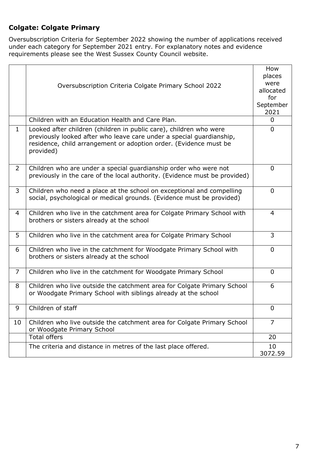### <span id="page-6-0"></span>**Colgate: Colgate Primary**

Oversubscription Criteria for September 2022 showing the number of applications received under each category for September 2021 entry. For explanatory notes and evidence requirements please see the West Sussex County Council website.

|                | Oversubscription Criteria Colgate Primary School 2022                                                                                                                                                                        | How<br>places<br>were<br>allocated<br>for<br>September<br>2021 |
|----------------|------------------------------------------------------------------------------------------------------------------------------------------------------------------------------------------------------------------------------|----------------------------------------------------------------|
|                | Children with an Education Health and Care Plan.                                                                                                                                                                             | $\mathbf{0}$                                                   |
| $\mathbf{1}$   | Looked after children (children in public care), children who were<br>previously looked after who leave care under a special guardianship,<br>residence, child arrangement or adoption order. (Evidence must be<br>provided) | $\mathbf 0$                                                    |
| $\overline{2}$ | Children who are under a special guardianship order who were not<br>previously in the care of the local authority. (Evidence must be provided)                                                                               | $\mathbf{0}$                                                   |
| 3              | Children who need a place at the school on exceptional and compelling<br>social, psychological or medical grounds. (Evidence must be provided)                                                                               | $\mathbf 0$                                                    |
| $\overline{4}$ | Children who live in the catchment area for Colgate Primary School with<br>brothers or sisters already at the school                                                                                                         | 4                                                              |
| 5              | Children who live in the catchment area for Colgate Primary School                                                                                                                                                           | $\overline{3}$                                                 |
| 6              | Children who live in the catchment for Woodgate Primary School with<br>brothers or sisters already at the school                                                                                                             | $\mathbf{0}$                                                   |
| $\overline{7}$ | Children who live in the catchment for Woodgate Primary School                                                                                                                                                               | $\mathbf{0}$                                                   |
| 8              | Children who live outside the catchment area for Colgate Primary School<br>or Woodgate Primary School with siblings already at the school                                                                                    | 6                                                              |
| 9              | Children of staff                                                                                                                                                                                                            | 0                                                              |
| 10             | Children who live outside the catchment area for Colgate Primary School<br>or Woodgate Primary School                                                                                                                        | $\overline{7}$                                                 |
|                | <b>Total offers</b>                                                                                                                                                                                                          | 20                                                             |
|                | The criteria and distance in metres of the last place offered.                                                                                                                                                               | 10<br>3072.59                                                  |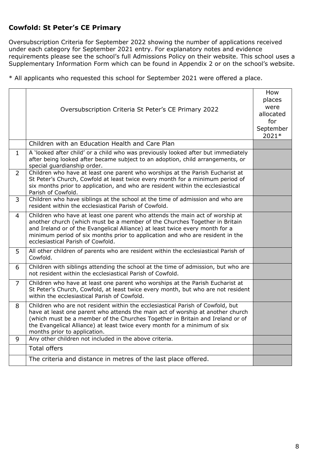### <span id="page-7-0"></span>**Cowfold: St Peter's CE Primary**

Oversubscription Criteria for September 2022 showing the number of applications received under each category for September 2021 entry. For explanatory notes and evidence requirements please see the school's full Admissions Policy on their website. This school uses a Supplementary Information Form which can be found in Appendix 2 or on the school's website.

|                | Oversubscription Criteria St Peter's CE Primary 2022                                                                                                                                                                                                                                                                                                             | How<br>places<br>were<br>allocated<br>for<br>September<br>2021* |
|----------------|------------------------------------------------------------------------------------------------------------------------------------------------------------------------------------------------------------------------------------------------------------------------------------------------------------------------------------------------------------------|-----------------------------------------------------------------|
|                | Children with an Education Health and Care Plan                                                                                                                                                                                                                                                                                                                  |                                                                 |
| $\mathbf 1$    | A 'looked after child' or a child who was previously looked after but immediately<br>after being looked after became subject to an adoption, child arrangements, or<br>special guardianship order.                                                                                                                                                               |                                                                 |
| $\overline{2}$ | Children who have at least one parent who worships at the Parish Eucharist at<br>St Peter's Church, Cowfold at least twice every month for a minimum period of<br>six months prior to application, and who are resident within the ecclesiastical<br>Parish of Cowfold.                                                                                          |                                                                 |
| 3              | Children who have siblings at the school at the time of admission and who are<br>resident within the ecclesiastical Parish of Cowfold.                                                                                                                                                                                                                           |                                                                 |
| 4              | Children who have at least one parent who attends the main act of worship at<br>another church (which must be a member of the Churches Together in Britain<br>and Ireland or of the Evangelical Alliance) at least twice every month for a<br>minimum period of six months prior to application and who are resident in the<br>ecclesiastical Parish of Cowfold. |                                                                 |
| 5              | All other children of parents who are resident within the ecclesiastical Parish of<br>Cowfold.                                                                                                                                                                                                                                                                   |                                                                 |
| 6              | Children with siblings attending the school at the time of admission, but who are<br>not resident within the ecclesiastical Parish of Cowfold.                                                                                                                                                                                                                   |                                                                 |
| $\overline{7}$ | Children who have at least one parent who worships at the Parish Eucharist at<br>St Peter's Church, Cowfold, at least twice every month, but who are not resident<br>within the ecclesiastical Parish of Cowfold.                                                                                                                                                |                                                                 |
| 8              | Children who are not resident within the ecclesiastical Parish of Cowfold, but<br>have at least one parent who attends the main act of worship at another church<br>(which must be a member of the Churches Together in Britain and Ireland or of<br>the Evangelical Alliance) at least twice every month for a minimum of six<br>months prior to application.   |                                                                 |
| 9              | Any other children not included in the above criteria.                                                                                                                                                                                                                                                                                                           |                                                                 |
|                | <b>Total offers</b>                                                                                                                                                                                                                                                                                                                                              |                                                                 |
|                | The criteria and distance in metres of the last place offered.                                                                                                                                                                                                                                                                                                   |                                                                 |
|                |                                                                                                                                                                                                                                                                                                                                                                  |                                                                 |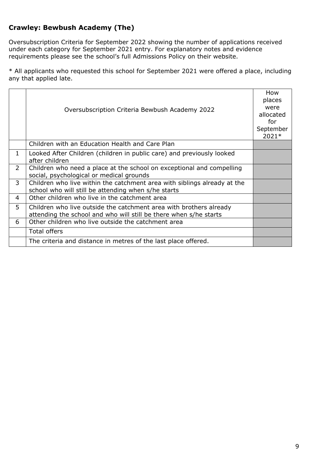### <span id="page-8-0"></span>**Crawley: Bewbush Academy (The)**

Oversubscription Criteria for September 2022 showing the number of applications received under each category for September 2021 entry. For explanatory notes and evidence requirements please see the school's full Admissions Policy on their website.

|              | Oversubscription Criteria Bewbush Academy 2022                                                                                          | How<br>places<br>were<br>allocated<br>for<br>September<br>2021* |
|--------------|-----------------------------------------------------------------------------------------------------------------------------------------|-----------------------------------------------------------------|
|              | Children with an Education Health and Care Plan                                                                                         |                                                                 |
| $\mathbf{1}$ | Looked After Children (children in public care) and previously looked<br>after children                                                 |                                                                 |
| 2            | Children who need a place at the school on exceptional and compelling<br>social, psychological or medical grounds                       |                                                                 |
| 3            | Children who live within the catchment area with siblings already at the<br>school who will still be attending when s/he starts         |                                                                 |
| 4            | Other children who live in the catchment area                                                                                           |                                                                 |
| 5            | Children who live outside the catchment area with brothers already<br>attending the school and who will still be there when s/he starts |                                                                 |
| 6            | Other children who live outside the catchment area                                                                                      |                                                                 |
|              | <b>Total offers</b>                                                                                                                     |                                                                 |
|              | The criteria and distance in metres of the last place offered.                                                                          |                                                                 |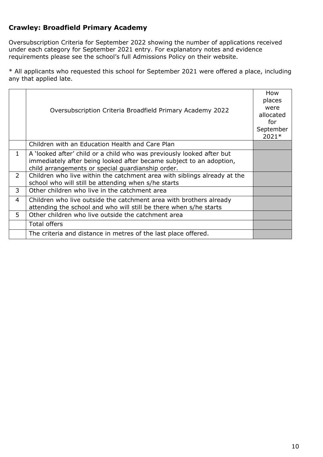### **Crawley: Broadfield Primary Academy**

Oversubscription Criteria for September 2022 showing the number of applications received under each category for September 2021 entry. For explanatory notes and evidence requirements please see the school's full Admissions Policy on their website.

|                | Oversubscription Criteria Broadfield Primary Academy 2022                                                                                                                                         | How<br>places<br>were<br>allocated<br>for<br>September<br>2021* |
|----------------|---------------------------------------------------------------------------------------------------------------------------------------------------------------------------------------------------|-----------------------------------------------------------------|
|                | Children with an Education Health and Care Plan                                                                                                                                                   |                                                                 |
| 1              | A 'looked after' child or a child who was previously looked after but<br>immediately after being looked after became subject to an adoption,<br>child arrangements or special guardianship order. |                                                                 |
| $\mathcal{P}$  | Children who live within the catchment area with siblings already at the<br>school who will still be attending when s/he starts                                                                   |                                                                 |
| 3              | Other children who live in the catchment area                                                                                                                                                     |                                                                 |
| $\overline{4}$ | Children who live outside the catchment area with brothers already<br>attending the school and who will still be there when s/he starts                                                           |                                                                 |
| 5              | Other children who live outside the catchment area                                                                                                                                                |                                                                 |
|                | <b>Total offers</b>                                                                                                                                                                               |                                                                 |
|                | The criteria and distance in metres of the last place offered.                                                                                                                                    |                                                                 |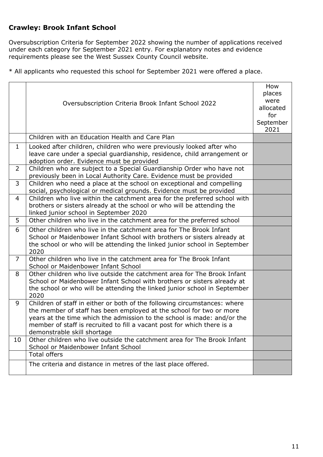### <span id="page-10-0"></span>**Crawley: Brook Infant School**

Oversubscription Criteria for September 2022 showing the number of applications received under each category for September 2021 entry. For explanatory notes and evidence requirements please see the West Sussex County Council website.

|                | Oversubscription Criteria Brook Infant School 2022                                                                                                                                                                                                                                                                                    | How<br>places<br>were<br>allocated<br>for<br>September<br>2021 |
|----------------|---------------------------------------------------------------------------------------------------------------------------------------------------------------------------------------------------------------------------------------------------------------------------------------------------------------------------------------|----------------------------------------------------------------|
|                | Children with an Education Health and Care Plan                                                                                                                                                                                                                                                                                       |                                                                |
| $\mathbf{1}$   | Looked after children, children who were previously looked after who<br>leave care under a special guardianship, residence, child arrangement or<br>adoption order. Evidence must be provided                                                                                                                                         |                                                                |
| $\overline{2}$ | Children who are subject to a Special Guardianship Order who have not<br>previously been in Local Authority Care. Evidence must be provided                                                                                                                                                                                           |                                                                |
| $\overline{3}$ | Children who need a place at the school on exceptional and compelling<br>social, psychological or medical grounds. Evidence must be provided                                                                                                                                                                                          |                                                                |
| 4              | Children who live within the catchment area for the preferred school with<br>brothers or sisters already at the school or who will be attending the<br>linked junior school in September 2020                                                                                                                                         |                                                                |
| 5              | Other children who live in the catchment area for the preferred school                                                                                                                                                                                                                                                                |                                                                |
| 6              | Other children who live in the catchment area for The Brook Infant<br>School or Maidenbower Infant School with brothers or sisters already at<br>the school or who will be attending the linked junior school in September<br>2020                                                                                                    |                                                                |
| 7 <sup>1</sup> | Other children who live in the catchment area for The Brook Infant<br>School or Maidenbower Infant School                                                                                                                                                                                                                             |                                                                |
| 8              | Other children who live outside the catchment area for The Brook Infant<br>School or Maidenbower Infant School with brothers or sisters already at<br>the school or who will be attending the linked junior school in September<br>2020                                                                                               |                                                                |
| 9              | Children of staff in either or both of the following circumstances: where<br>the member of staff has been employed at the school for two or more<br>years at the time which the admission to the school is made: and/or the<br>member of staff is recruited to fill a vacant post for which there is a<br>demonstrable skill shortage |                                                                |
| 10             | Other children who live outside the catchment area for The Brook Infant<br>School or Maidenbower Infant School                                                                                                                                                                                                                        |                                                                |
|                | <b>Total offers</b>                                                                                                                                                                                                                                                                                                                   |                                                                |
|                | The criteria and distance in metres of the last place offered.                                                                                                                                                                                                                                                                        |                                                                |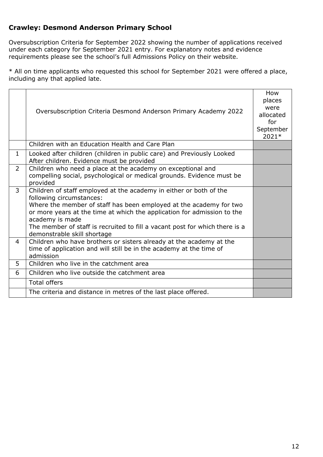### <span id="page-11-0"></span>**Crawley: Desmond Anderson Primary School**

Oversubscription Criteria for September 2022 showing the number of applications received under each category for September 2021 entry. For explanatory notes and evidence requirements please see the school's full Admissions Policy on their website.

|                | Oversubscription Criteria Desmond Anderson Primary Academy 2022                                                                                                                                                                                                                                                                                                                  | How<br>places<br>were<br>allocated<br>for<br>September<br>2021* |
|----------------|----------------------------------------------------------------------------------------------------------------------------------------------------------------------------------------------------------------------------------------------------------------------------------------------------------------------------------------------------------------------------------|-----------------------------------------------------------------|
|                | Children with an Education Health and Care Plan                                                                                                                                                                                                                                                                                                                                  |                                                                 |
| $\mathbf 1$    | Looked after children (children in public care) and Previously Looked<br>After children. Evidence must be provided                                                                                                                                                                                                                                                               |                                                                 |
| $\overline{2}$ | Children who need a place at the academy on exceptional and<br>compelling social, psychological or medical grounds. Evidence must be<br>provided                                                                                                                                                                                                                                 |                                                                 |
| 3              | Children of staff employed at the academy in either or both of the<br>following circumstances:<br>Where the member of staff has been employed at the academy for two<br>or more years at the time at which the application for admission to the<br>academy is made<br>The member of staff is recruited to fill a vacant post for which there is a<br>demonstrable skill shortage |                                                                 |
| $\overline{4}$ | Children who have brothers or sisters already at the academy at the<br>time of application and will still be in the academy at the time of<br>admission                                                                                                                                                                                                                          |                                                                 |
| 5              | Children who live in the catchment area                                                                                                                                                                                                                                                                                                                                          |                                                                 |
| 6              | Children who live outside the catchment area                                                                                                                                                                                                                                                                                                                                     |                                                                 |
|                | <b>Total offers</b>                                                                                                                                                                                                                                                                                                                                                              |                                                                 |
|                | The criteria and distance in metres of the last place offered.                                                                                                                                                                                                                                                                                                                   |                                                                 |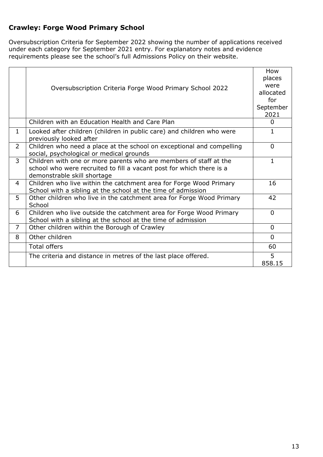### <span id="page-12-0"></span>**Crawley: Forge Wood Primary School**

Oversubscription Criteria for September 2022 showing the number of applications received under each category for September 2021 entry. For explanatory notes and evidence requirements please see the school's full Admissions Policy on their website.

|                | Oversubscription Criteria Forge Wood Primary School 2022                                                                                                                 | How<br>places<br>were<br>allocated<br>for<br>September<br>2021 |
|----------------|--------------------------------------------------------------------------------------------------------------------------------------------------------------------------|----------------------------------------------------------------|
|                | Children with an Education Health and Care Plan                                                                                                                          | 0                                                              |
| $\mathbf{1}$   | Looked after children (children in public care) and children who were<br>previously looked after                                                                         | $\mathbf{1}$                                                   |
| $\overline{2}$ | Children who need a place at the school on exceptional and compelling<br>social, psychological or medical grounds                                                        | $\overline{0}$                                                 |
| $\overline{3}$ | Children with one or more parents who are members of staff at the<br>school who were recruited to fill a vacant post for which there is a<br>demonstrable skill shortage | $\mathbf{1}$                                                   |
| $\overline{4}$ | Children who live within the catchment area for Forge Wood Primary<br>School with a sibling at the school at the time of admission                                       | 16                                                             |
| 5              | Other children who live in the catchment area for Forge Wood Primary<br>School                                                                                           | 42                                                             |
| 6              | Children who live outside the catchment area for Forge Wood Primary<br>School with a sibling at the school at the time of admission                                      | $\Omega$                                                       |
| $\overline{7}$ | Other children within the Borough of Crawley                                                                                                                             | $\Omega$                                                       |
| 8              | Other children                                                                                                                                                           | $\Omega$                                                       |
|                | <b>Total offers</b>                                                                                                                                                      | 60                                                             |
|                | The criteria and distance in metres of the last place offered.                                                                                                           | 5<br>858.15                                                    |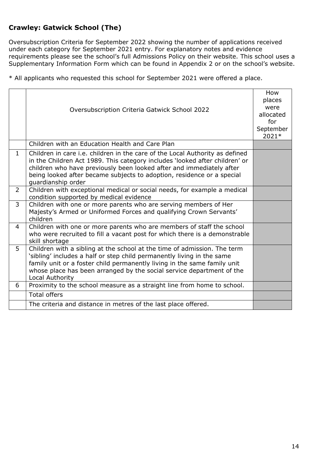### <span id="page-13-0"></span>**Crawley: Gatwick School (The)**

Oversubscription Criteria for September 2022 showing the number of applications received under each category for September 2021 entry. For explanatory notes and evidence requirements please see the school's full Admissions Policy on their website. This school uses a Supplementary Information Form which can be found in Appendix 2 or on the school's website.

|                | Oversubscription Criteria Gatwick School 2022                                                                                                                                                                                                                                                                                       | How<br>places<br>were<br>allocated<br>for<br>September<br>2021* |
|----------------|-------------------------------------------------------------------------------------------------------------------------------------------------------------------------------------------------------------------------------------------------------------------------------------------------------------------------------------|-----------------------------------------------------------------|
|                | Children with an Education Health and Care Plan                                                                                                                                                                                                                                                                                     |                                                                 |
| $\mathbf{1}$   | Children in care i.e. children in the care of the Local Authority as defined<br>in the Children Act 1989. This category includes 'looked after children' or<br>children who have previously been looked after and immediately after<br>being looked after became subjects to adoption, residence or a special<br>guardianship order |                                                                 |
| $\overline{2}$ | Children with exceptional medical or social needs, for example a medical<br>condition supported by medical evidence                                                                                                                                                                                                                 |                                                                 |
| 3              | Children with one or more parents who are serving members of Her<br>Majesty's Armed or Uniformed Forces and qualifying Crown Servants'<br>children                                                                                                                                                                                  |                                                                 |
| 4              | Children with one or more parents who are members of staff the school<br>who were recruited to fill a vacant post for which there is a demonstrable<br>skill shortage                                                                                                                                                               |                                                                 |
| 5              | Children with a sibling at the school at the time of admission. The term<br>'sibling' includes a half or step child permanently living in the same<br>family unit or a foster child permanently living in the same family unit<br>whose place has been arranged by the social service department of the<br>Local Authority          |                                                                 |
| 6              | Proximity to the school measure as a straight line from home to school.                                                                                                                                                                                                                                                             |                                                                 |
|                | <b>Total offers</b>                                                                                                                                                                                                                                                                                                                 |                                                                 |
|                | The criteria and distance in metres of the last place offered.                                                                                                                                                                                                                                                                      |                                                                 |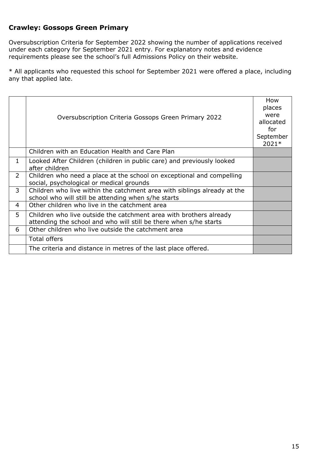#### <span id="page-14-0"></span>**Crawley: Gossops Green Primary**

Oversubscription Criteria for September 2022 showing the number of applications received under each category for September 2021 entry. For explanatory notes and evidence requirements please see the school's full Admissions Policy on their website.

|                | Oversubscription Criteria Gossops Green Primary 2022                                                                                    | How<br>places<br>were<br>allocated<br>for<br>September<br>2021* |
|----------------|-----------------------------------------------------------------------------------------------------------------------------------------|-----------------------------------------------------------------|
|                | Children with an Education Health and Care Plan                                                                                         |                                                                 |
| 1.             | Looked After Children (children in public care) and previously looked<br>after children                                                 |                                                                 |
| $\overline{2}$ | Children who need a place at the school on exceptional and compelling<br>social, psychological or medical grounds                       |                                                                 |
| 3              | Children who live within the catchment area with siblings already at the<br>school who will still be attending when s/he starts         |                                                                 |
| 4              | Other children who live in the catchment area                                                                                           |                                                                 |
| 5              | Children who live outside the catchment area with brothers already<br>attending the school and who will still be there when s/he starts |                                                                 |
| 6              | Other children who live outside the catchment area                                                                                      |                                                                 |
|                | <b>Total offers</b>                                                                                                                     |                                                                 |
|                | The criteria and distance in metres of the last place offered.                                                                          |                                                                 |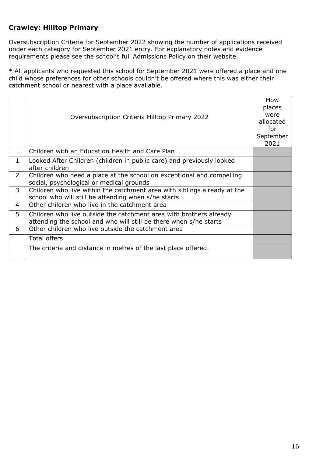### <span id="page-15-0"></span>**Crawley: Hilltop Primary**

Oversubscription Criteria for September 2022 showing the number of applications received under each category for September 2021 entry. For explanatory notes and evidence requirements please see the school's full Admissions Policy on their website.

\* All applicants who requested this school for September 2021 were offered a place and one child whose preferences for other schools couldn't be offered where this was either their catchment school or nearest with a place available.

|                | Oversubscription Criteria Hilltop Primary 2022                                                                                          | How<br>places<br>were<br>allocated<br>for<br>September<br>2021 |
|----------------|-----------------------------------------------------------------------------------------------------------------------------------------|----------------------------------------------------------------|
|                | Children with an Education Health and Care Plan                                                                                         |                                                                |
| $\mathbf 1$    | Looked After Children (children in public care) and previously looked<br>after children                                                 |                                                                |
| $\overline{2}$ | Children who need a place at the school on exceptional and compelling<br>social, psychological or medical grounds                       |                                                                |
| 3              | Children who live within the catchment area with siblings already at the<br>school who will still be attending when s/he starts         |                                                                |
| 4              | Other children who live in the catchment area                                                                                           |                                                                |
| 5              | Children who live outside the catchment area with brothers already<br>attending the school and who will still be there when s/he starts |                                                                |
| 6              | Other children who live outside the catchment area                                                                                      |                                                                |
|                | <b>Total offers</b>                                                                                                                     |                                                                |
|                | The criteria and distance in metres of the last place offered.                                                                          |                                                                |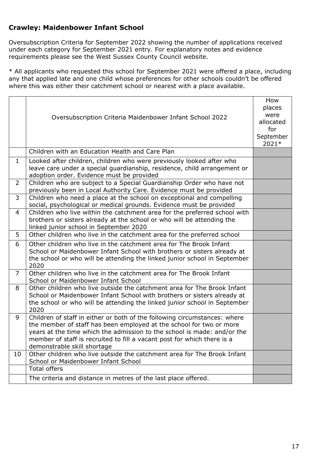#### <span id="page-16-0"></span>**Crawley: Maidenbower Infant School**

Oversubscription Criteria for September 2022 showing the number of applications received under each category for September 2021 entry. For explanatory notes and evidence requirements please see the West Sussex County Council website.

\* All applicants who requested this school for September 2021 were offered a place, including any that applied late and one child whose preferences for other schools couldn't be offered where this was either their catchment school or nearest with a place available.

|                | Oversubscription Criteria Maidenbower Infant School 2022                                                                                                                                                                                                                                                                              | How<br>places<br>were<br>allocated<br>for<br>September<br>2021* |
|----------------|---------------------------------------------------------------------------------------------------------------------------------------------------------------------------------------------------------------------------------------------------------------------------------------------------------------------------------------|-----------------------------------------------------------------|
|                | Children with an Education Health and Care Plan                                                                                                                                                                                                                                                                                       |                                                                 |
| $\mathbf{1}$   | Looked after children, children who were previously looked after who<br>leave care under a special guardianship, residence, child arrangement or<br>adoption order. Evidence must be provided                                                                                                                                         |                                                                 |
| $\overline{2}$ | Children who are subject to a Special Guardianship Order who have not<br>previously been in Local Authority Care. Evidence must be provided                                                                                                                                                                                           |                                                                 |
| 3              | Children who need a place at the school on exceptional and compelling<br>social, psychological or medical grounds. Evidence must be provided                                                                                                                                                                                          |                                                                 |
| $\overline{4}$ | Children who live within the catchment area for the preferred school with<br>brothers or sisters already at the school or who will be attending the<br>linked junior school in September 2020                                                                                                                                         |                                                                 |
| 5              | Other children who live in the catchment area for the preferred school                                                                                                                                                                                                                                                                |                                                                 |
| 6              | Other children who live in the catchment area for The Brook Infant<br>School or Maidenbower Infant School with brothers or sisters already at<br>the school or who will be attending the linked junior school in September<br>2020                                                                                                    |                                                                 |
| $\overline{7}$ | Other children who live in the catchment area for The Brook Infant<br>School or Maidenbower Infant School                                                                                                                                                                                                                             |                                                                 |
| 8              | Other children who live outside the catchment area for The Brook Infant<br>School or Maidenbower Infant School with brothers or sisters already at<br>the school or who will be attending the linked junior school in September<br>2020                                                                                               |                                                                 |
| 9              | Children of staff in either or both of the following circumstances: where<br>the member of staff has been employed at the school for two or more<br>years at the time which the admission to the school is made: and/or the<br>member of staff is recruited to fill a vacant post for which there is a<br>demonstrable skill shortage |                                                                 |
| 10             | Other children who live outside the catchment area for The Brook Infant<br>School or Maidenbower Infant School                                                                                                                                                                                                                        |                                                                 |
|                | <b>Total offers</b>                                                                                                                                                                                                                                                                                                                   |                                                                 |
|                | The criteria and distance in metres of the last place offered.                                                                                                                                                                                                                                                                        |                                                                 |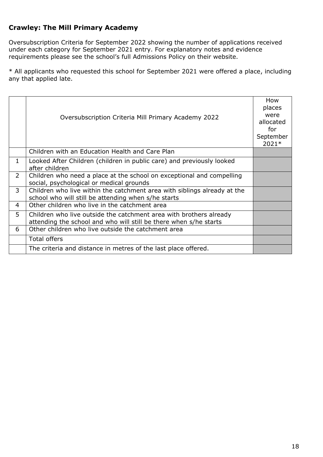### <span id="page-17-0"></span>**Crawley: The Mill Primary Academy**

Oversubscription Criteria for September 2022 showing the number of applications received under each category for September 2021 entry. For explanatory notes and evidence requirements please see the school's full Admissions Policy on their website.

|                | Oversubscription Criteria Mill Primary Academy 2022                                                                                     | How<br>places<br>were<br>allocated<br>for<br>September<br>2021* |
|----------------|-----------------------------------------------------------------------------------------------------------------------------------------|-----------------------------------------------------------------|
|                | Children with an Education Health and Care Plan                                                                                         |                                                                 |
| 1              | Looked After Children (children in public care) and previously looked<br>after children                                                 |                                                                 |
| $\overline{2}$ | Children who need a place at the school on exceptional and compelling<br>social, psychological or medical grounds                       |                                                                 |
| 3              | Children who live within the catchment area with siblings already at the<br>school who will still be attending when s/he starts         |                                                                 |
| $\overline{4}$ | Other children who live in the catchment area                                                                                           |                                                                 |
| 5              | Children who live outside the catchment area with brothers already<br>attending the school and who will still be there when s/he starts |                                                                 |
| 6              | Other children who live outside the catchment area                                                                                      |                                                                 |
|                | <b>Total offers</b>                                                                                                                     |                                                                 |
|                | The criteria and distance in metres of the last place offered.                                                                          |                                                                 |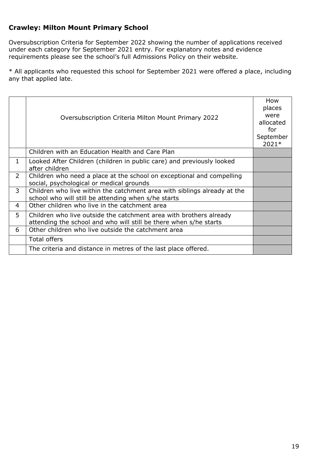### <span id="page-18-0"></span>**Crawley: Milton Mount Primary School**

Oversubscription Criteria for September 2022 showing the number of applications received under each category for September 2021 entry. For explanatory notes and evidence requirements please see the school's full Admissions Policy on their website.

|                | Oversubscription Criteria Milton Mount Primary 2022                                                                                     | How<br>places<br>were<br>allocated<br>for<br>September<br>2021* |
|----------------|-----------------------------------------------------------------------------------------------------------------------------------------|-----------------------------------------------------------------|
|                | Children with an Education Health and Care Plan                                                                                         |                                                                 |
| 1              | Looked After Children (children in public care) and previously looked<br>after children                                                 |                                                                 |
| $\overline{2}$ | Children who need a place at the school on exceptional and compelling<br>social, psychological or medical grounds                       |                                                                 |
| 3              | Children who live within the catchment area with siblings already at the<br>school who will still be attending when s/he starts         |                                                                 |
| 4              | Other children who live in the catchment area                                                                                           |                                                                 |
| 5              | Children who live outside the catchment area with brothers already<br>attending the school and who will still be there when s/he starts |                                                                 |
| 6              | Other children who live outside the catchment area                                                                                      |                                                                 |
|                | <b>Total offers</b>                                                                                                                     |                                                                 |
|                | The criteria and distance in metres of the last place offered.                                                                          |                                                                 |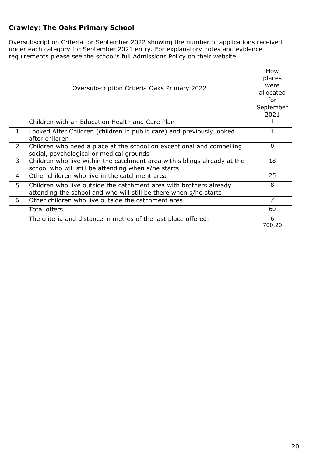### <span id="page-19-0"></span>**Crawley: The Oaks Primary School**

Oversubscription Criteria for September 2022 showing the number of applications received under each category for September 2021 entry. For explanatory notes and evidence requirements please see the school's full Admissions Policy on their website.

|                |                                                                          | How       |
|----------------|--------------------------------------------------------------------------|-----------|
|                |                                                                          | places    |
|                | Oversubscription Criteria Oaks Primary 2022                              | were      |
|                |                                                                          | allocated |
|                |                                                                          | for       |
|                |                                                                          | September |
|                |                                                                          | 2021      |
|                | Children with an Education Health and Care Plan                          |           |
| 1              | Looked After Children (children in public care) and previously looked    | 1         |
|                | after children                                                           |           |
| $\overline{2}$ | Children who need a place at the school on exceptional and compelling    | $\Omega$  |
|                | social, psychological or medical grounds                                 |           |
| $\overline{3}$ | Children who live within the catchment area with siblings already at the | 18        |
|                | school who will still be attending when s/he starts                      |           |
| 4              | Other children who live in the catchment area                            | 25        |
| 5              | Children who live outside the catchment area with brothers already       | 8         |
|                | attending the school and who will still be there when s/he starts        |           |
| 6              | Other children who live outside the catchment area                       | 7         |
|                | <b>Total offers</b>                                                      | 60        |
|                | The criteria and distance in metres of the last place offered.           | 6         |
|                |                                                                          | 700.20    |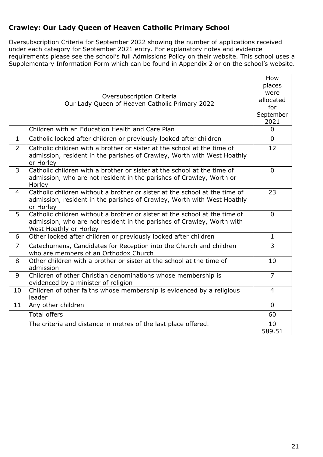### <span id="page-20-0"></span>**Crawley: Our Lady Queen of Heaven Catholic Primary School**

Oversubscription Criteria for September 2022 showing the number of applications received under each category for September 2021 entry. For explanatory notes and evidence requirements please see the school's full Admissions Policy on their website. This school uses a Supplementary Information Form which can be found in Appendix 2 or on the school's website.

|                | Oversubscription Criteria<br>Our Lady Queen of Heaven Catholic Primary 2022                                                                                                    | How<br>places<br>were<br>allocated<br>for<br>September<br>2021 |
|----------------|--------------------------------------------------------------------------------------------------------------------------------------------------------------------------------|----------------------------------------------------------------|
|                | Children with an Education Health and Care Plan                                                                                                                                | $\Omega$                                                       |
| $\mathbf{1}$   | Catholic looked after children or previously looked after children                                                                                                             | $\Omega$                                                       |
| $\overline{2}$ | Catholic children with a brother or sister at the school at the time of<br>admission, resident in the parishes of Crawley, Worth with West Hoathly<br>or Horley                | 12                                                             |
| 3              | Catholic children with a brother or sister at the school at the time of<br>admission, who are not resident in the parishes of Crawley, Worth or<br>Horley                      | $\Omega$                                                       |
| $\overline{4}$ | Catholic children without a brother or sister at the school at the time of<br>admission, resident in the parishes of Crawley, Worth with West Hoathly<br>or Horley             | 23                                                             |
| 5              | Catholic children without a brother or sister at the school at the time of<br>admission, who are not resident in the parishes of Crawley, Worth with<br>West Hoathly or Horley | $\mathbf 0$                                                    |
| 6              | Other looked after children or previously looked after children                                                                                                                | $\mathbf{1}$                                                   |
| $\overline{7}$ | Catechumens, Candidates for Reception into the Church and children<br>who are members of an Orthodox Church                                                                    | $\overline{3}$                                                 |
| 8              | Other children with a brother or sister at the school at the time of<br>admission                                                                                              | 10                                                             |
| 9              | Children of other Christian denominations whose membership is<br>evidenced by a minister of religion                                                                           | $\overline{7}$                                                 |
| 10             | Children of other faiths whose membership is evidenced by a religious<br>leader                                                                                                | $\overline{4}$                                                 |
| 11             | Any other children                                                                                                                                                             | $\mathbf{0}$                                                   |
|                | <b>Total offers</b>                                                                                                                                                            | 60                                                             |
|                | The criteria and distance in metres of the last place offered.                                                                                                                 | 10<br>589.51                                                   |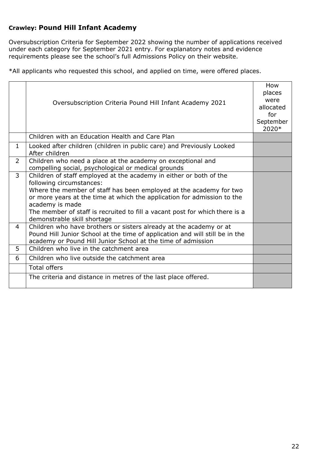#### <span id="page-21-0"></span>**Crawley: Pound Hill Infant Academy**

Oversubscription Criteria for September 2022 showing the number of applications received under each category for September 2021 entry. For explanatory notes and evidence requirements please see the school's full Admissions Policy on their website.

\*All applicants who requested this school, and applied on time, were offered places.

|                | Oversubscription Criteria Pound Hill Infant Academy 2021                                                                                                                                                                                                                                                                                                                         | How<br>places<br>were<br>allocated<br>for<br>September<br>2020* |
|----------------|----------------------------------------------------------------------------------------------------------------------------------------------------------------------------------------------------------------------------------------------------------------------------------------------------------------------------------------------------------------------------------|-----------------------------------------------------------------|
|                | Children with an Education Health and Care Plan                                                                                                                                                                                                                                                                                                                                  |                                                                 |
| $\mathbf{1}$   | Looked after children (children in public care) and Previously Looked<br>After children                                                                                                                                                                                                                                                                                          |                                                                 |
| $\overline{2}$ | Children who need a place at the academy on exceptional and<br>compelling social, psychological or medical grounds                                                                                                                                                                                                                                                               |                                                                 |
| 3              | Children of staff employed at the academy in either or both of the<br>following circumstances:<br>Where the member of staff has been employed at the academy for two<br>or more years at the time at which the application for admission to the<br>academy is made<br>The member of staff is recruited to fill a vacant post for which there is a<br>demonstrable skill shortage |                                                                 |
| 4              | Children who have brothers or sisters already at the academy or at<br>Pound Hill Junior School at the time of application and will still be in the<br>academy or Pound Hill Junior School at the time of admission                                                                                                                                                               |                                                                 |
| 5              | Children who live in the catchment area                                                                                                                                                                                                                                                                                                                                          |                                                                 |
| 6              | Children who live outside the catchment area                                                                                                                                                                                                                                                                                                                                     |                                                                 |
|                | <b>Total offers</b>                                                                                                                                                                                                                                                                                                                                                              |                                                                 |
|                | The criteria and distance in metres of the last place offered.                                                                                                                                                                                                                                                                                                                   |                                                                 |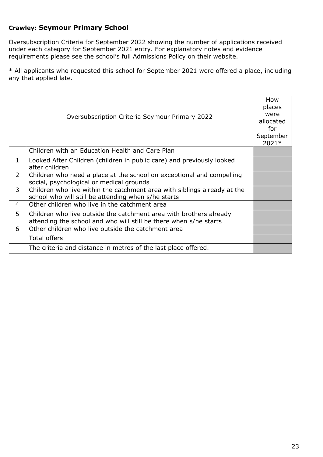#### <span id="page-22-0"></span>**Crawley: Seymour Primary School**

Oversubscription Criteria for September 2022 showing the number of applications received under each category for September 2021 entry. For explanatory notes and evidence requirements please see the school's full Admissions Policy on their website.

|                | Oversubscription Criteria Seymour Primary 2022                                                                                          | How<br>places<br>were<br>allocated<br>for<br>September<br>2021* |
|----------------|-----------------------------------------------------------------------------------------------------------------------------------------|-----------------------------------------------------------------|
|                | Children with an Education Health and Care Plan                                                                                         |                                                                 |
| 1              | Looked After Children (children in public care) and previously looked<br>after children                                                 |                                                                 |
| $\overline{2}$ | Children who need a place at the school on exceptional and compelling<br>social, psychological or medical grounds                       |                                                                 |
| 3              | Children who live within the catchment area with siblings already at the<br>school who will still be attending when s/he starts         |                                                                 |
| 4              | Other children who live in the catchment area                                                                                           |                                                                 |
| 5              | Children who live outside the catchment area with brothers already<br>attending the school and who will still be there when s/he starts |                                                                 |
| 6              | Other children who live outside the catchment area                                                                                      |                                                                 |
|                | Total offers                                                                                                                            |                                                                 |
|                | The criteria and distance in metres of the last place offered.                                                                          |                                                                 |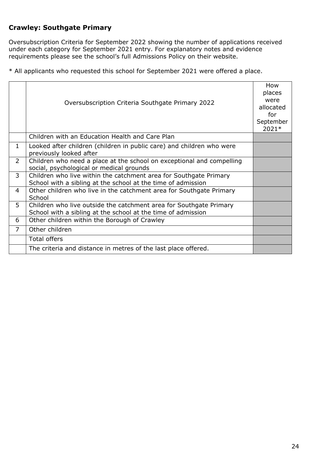### <span id="page-23-0"></span>**Crawley: Southgate Primary**

Oversubscription Criteria for September 2022 showing the number of applications received under each category for September 2021 entry. For explanatory notes and evidence requirements please see the school's full Admissions Policy on their website.

|                | Oversubscription Criteria Southgate Primary 2022                                                                                   | How<br>places<br>were<br>allocated<br>for<br>September<br>2021* |
|----------------|------------------------------------------------------------------------------------------------------------------------------------|-----------------------------------------------------------------|
|                | Children with an Education Health and Care Plan                                                                                    |                                                                 |
| $\mathbf{1}$   | Looked after children (children in public care) and children who were<br>previously looked after                                   |                                                                 |
| $\overline{2}$ | Children who need a place at the school on exceptional and compelling<br>social, psychological or medical grounds                  |                                                                 |
| $\overline{3}$ | Children who live within the catchment area for Southgate Primary<br>School with a sibling at the school at the time of admission  |                                                                 |
| 4              | Other children who live in the catchment area for Southgate Primary<br>School                                                      |                                                                 |
| 5              | Children who live outside the catchment area for Southgate Primary<br>School with a sibling at the school at the time of admission |                                                                 |
| 6              | Other children within the Borough of Crawley                                                                                       |                                                                 |
| $\overline{7}$ | Other children                                                                                                                     |                                                                 |
|                | <b>Total offers</b>                                                                                                                |                                                                 |
|                | The criteria and distance in metres of the last place offered.                                                                     |                                                                 |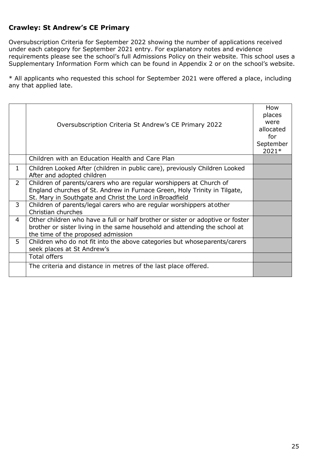### <span id="page-24-0"></span>**Crawley: St Andrew's CE Primary**

Oversubscription Criteria for September 2022 showing the number of applications received under each category for September 2021 entry. For explanatory notes and evidence requirements please see the school's full Admissions Policy on their website. This school uses a Supplementary Information Form which can be found in Appendix 2 or on the school's website.

|                | Oversubscription Criteria St Andrew's CE Primary 2022                                                                                                                                                       | How<br>places<br>were<br>allocated<br>for<br>September<br>2021* |
|----------------|-------------------------------------------------------------------------------------------------------------------------------------------------------------------------------------------------------------|-----------------------------------------------------------------|
|                | Children with an Education Health and Care Plan                                                                                                                                                             |                                                                 |
| 1              | Children Looked After (children in public care), previously Children Looked<br>After and adopted children                                                                                                   |                                                                 |
| $\overline{2}$ | Children of parents/carers who are regular worshippers at Church of<br>England churches of St. Andrew in Furnace Green, Holy Trinity in Tilgate,<br>St. Mary in Southgate and Christ the Lord in Broadfield |                                                                 |
| 3              | Children of parents/legal carers who are regular worshippers at other<br>Christian churches                                                                                                                 |                                                                 |
| $\overline{4}$ | Other children who have a full or half brother or sister or adoptive or foster<br>brother or sister living in the same household and attending the school at<br>the time of the proposed admission          |                                                                 |
| 5              | Children who do not fit into the above categories but whose parents/carers<br>seek places at St Andrew's                                                                                                    |                                                                 |
|                | <b>Total offers</b>                                                                                                                                                                                         |                                                                 |
|                | The criteria and distance in metres of the last place offered.                                                                                                                                              |                                                                 |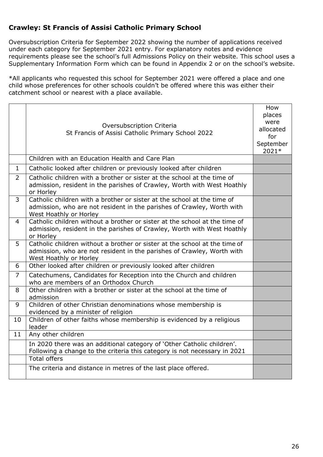#### <span id="page-25-0"></span>**Crawley: St Francis of Assisi Catholic Primary School**

Oversubscription Criteria for September 2022 showing the number of applications received under each category for September 2021 entry. For explanatory notes and evidence requirements please see the school's full Admissions Policy on their website. This school uses a Supplementary Information Form which can be found in Appendix 2 or on the school's website.

\*All applicants who requested this school for September 2021 were offered a place and one child whose preferences for other schools couldn't be offered where this was either their catchment school or nearest with a place available.

|                | Oversubscription Criteria<br>St Francis of Assisi Catholic Primary School 2022                                                                                                 | How<br>places<br>were<br>allocated<br>for<br>September<br>2021* |
|----------------|--------------------------------------------------------------------------------------------------------------------------------------------------------------------------------|-----------------------------------------------------------------|
|                | Children with an Education Health and Care Plan                                                                                                                                |                                                                 |
| $\mathbf{1}$   | Catholic looked after children or previously looked after children                                                                                                             |                                                                 |
| $\overline{2}$ | Catholic children with a brother or sister at the school at the time of<br>admission, resident in the parishes of Crawley, Worth with West Hoathly<br>or Horley                |                                                                 |
| 3              | Catholic children with a brother or sister at the school at the time of<br>admission, who are not resident in the parishes of Crawley, Worth with<br>West Hoathly or Horley    |                                                                 |
| $\overline{4}$ | Catholic children without a brother or sister at the school at the time of<br>admission, resident in the parishes of Crawley, Worth with West Hoathly<br>or Horley             |                                                                 |
| 5              | Catholic children without a brother or sister at the school at the time of<br>admission, who are not resident in the parishes of Crawley, Worth with<br>West Hoathly or Horley |                                                                 |
| 6              | Other looked after children or previously looked after children                                                                                                                |                                                                 |
| $\overline{7}$ | Catechumens, Candidates for Reception into the Church and children<br>who are members of an Orthodox Church                                                                    |                                                                 |
| 8              | Other children with a brother or sister at the school at the time of<br>admission                                                                                              |                                                                 |
| 9              | Children of other Christian denominations whose membership is<br>evidenced by a minister of religion                                                                           |                                                                 |
| 10             | Children of other faiths whose membership is evidenced by a religious<br>leader                                                                                                |                                                                 |
| 11             | Any other children                                                                                                                                                             |                                                                 |
|                | In 2020 there was an additional category of 'Other Catholic children'.<br>Following a change to the criteria this category is not necessary in 2021                            |                                                                 |
|                | <b>Total offers</b>                                                                                                                                                            |                                                                 |
|                | The criteria and distance in metres of the last place offered.                                                                                                                 |                                                                 |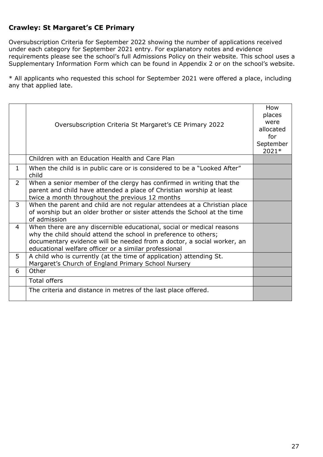#### <span id="page-26-0"></span>**Crawley: St Margaret's CE Primary**

Oversubscription Criteria for September 2022 showing the number of applications received under each category for September 2021 entry. For explanatory notes and evidence requirements please see the school's full Admissions Policy on their website. This school uses a Supplementary Information Form which can be found in Appendix 2 or on the school's website.

|                | Oversubscription Criteria St Margaret's CE Primary 2022                                                                                                                                                                                                                     | How<br>places<br>were<br>allocated<br>for<br>September<br>2021* |
|----------------|-----------------------------------------------------------------------------------------------------------------------------------------------------------------------------------------------------------------------------------------------------------------------------|-----------------------------------------------------------------|
|                | Children with an Education Health and Care Plan                                                                                                                                                                                                                             |                                                                 |
| $\mathbf{1}$   | When the child is in public care or is considered to be a "Looked After"<br>child                                                                                                                                                                                           |                                                                 |
| $\overline{2}$ | When a senior member of the clergy has confirmed in writing that the<br>parent and child have attended a place of Christian worship at least<br>twice a month throughout the previous 12 months                                                                             |                                                                 |
| $\mathbf{3}$   | When the parent and child are not regular attendees at a Christian place<br>of worship but an older brother or sister attends the School at the time<br>of admission                                                                                                        |                                                                 |
| 4              | When there are any discernible educational, social or medical reasons<br>why the child should attend the school in preference to others;<br>documentary evidence will be needed from a doctor, a social worker, an<br>educational welfare officer or a similar professional |                                                                 |
| 5              | A child who is currently (at the time of application) attending St.<br>Margaret's Church of England Primary School Nursery                                                                                                                                                  |                                                                 |
| 6              | Other                                                                                                                                                                                                                                                                       |                                                                 |
|                | <b>Total offers</b>                                                                                                                                                                                                                                                         |                                                                 |
|                | The criteria and distance in metres of the last place offered.                                                                                                                                                                                                              |                                                                 |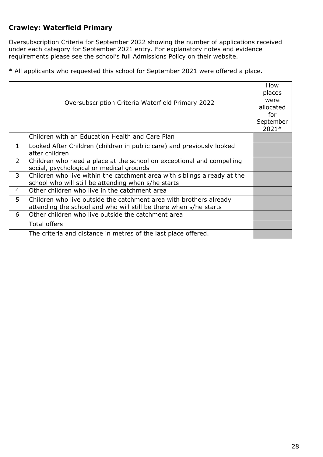#### <span id="page-27-0"></span>**Crawley: Waterfield Primary**

Oversubscription Criteria for September 2022 showing the number of applications received under each category for September 2021 entry. For explanatory notes and evidence requirements please see the school's full Admissions Policy on their website.

|                | Oversubscription Criteria Waterfield Primary 2022                                                                                       | How<br>places<br>were<br>allocated<br>for<br>September<br>2021* |
|----------------|-----------------------------------------------------------------------------------------------------------------------------------------|-----------------------------------------------------------------|
|                | Children with an Education Health and Care Plan                                                                                         |                                                                 |
| $\mathbf{1}$   | Looked After Children (children in public care) and previously looked<br>after children                                                 |                                                                 |
| $\overline{2}$ | Children who need a place at the school on exceptional and compelling<br>social, psychological or medical grounds                       |                                                                 |
| 3              | Children who live within the catchment area with siblings already at the<br>school who will still be attending when s/he starts         |                                                                 |
| 4              | Other children who live in the catchment area                                                                                           |                                                                 |
| 5              | Children who live outside the catchment area with brothers already<br>attending the school and who will still be there when s/he starts |                                                                 |
| 6              | Other children who live outside the catchment area                                                                                      |                                                                 |
|                | Total offers                                                                                                                            |                                                                 |
|                | The criteria and distance in metres of the last place offered.                                                                          |                                                                 |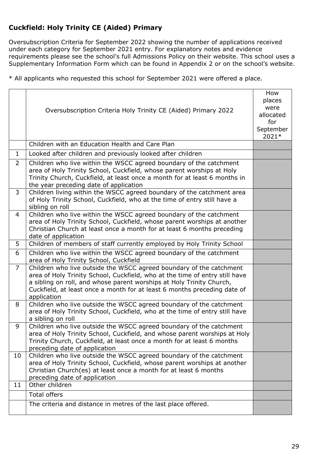### <span id="page-28-0"></span>**Cuckfield: Holy Trinity CE (Aided) Primary**

Oversubscription Criteria for September 2022 showing the number of applications received under each category for September 2021 entry. For explanatory notes and evidence requirements please see the school's full Admissions Policy on their website. This school uses a Supplementary Information Form which can be found in Appendix 2 or on the school's website.

|                | Oversubscription Criteria Holy Trinity CE (Aided) Primary 2022<br>Children with an Education Health and Care Plan                                                                                                                                                                                                     | How<br>places<br>were<br>allocated<br>for<br>September<br>2021* |
|----------------|-----------------------------------------------------------------------------------------------------------------------------------------------------------------------------------------------------------------------------------------------------------------------------------------------------------------------|-----------------------------------------------------------------|
| $\mathbf{1}$   |                                                                                                                                                                                                                                                                                                                       |                                                                 |
|                | Looked after children and previously looked after children                                                                                                                                                                                                                                                            |                                                                 |
| $\overline{2}$ | Children who live within the WSCC agreed boundary of the catchment<br>area of Holy Trinity School, Cuckfield, whose parent worships at Holy<br>Trinity Church, Cuckfield, at least once a month for at least 6 months in<br>the year preceding date of application                                                    |                                                                 |
| 3              | Children living within the WSCC agreed boundary of the catchment area<br>of Holy Trinity School, Cuckfield, who at the time of entry still have a<br>sibling on roll                                                                                                                                                  |                                                                 |
| $\overline{4}$ | Children who live within the WSCC agreed boundary of the catchment<br>area of Holy Trinity School, Cuckfield, whose parent worships at another<br>Christian Church at least once a month for at least 6 months preceding<br>date of application                                                                       |                                                                 |
| 5              | Children of members of staff currently employed by Holy Trinity School                                                                                                                                                                                                                                                |                                                                 |
| 6              | Children who live within the WSCC agreed boundary of the catchment<br>area of Holy Trinity School, Cuckfield                                                                                                                                                                                                          |                                                                 |
| $\overline{7}$ | Children who live outside the WSCC agreed boundary of the catchment<br>area of Holy Trinity School, Cuckfield, who at the time of entry still have<br>a sibling on roll, and whose parent worships at Holy Trinity Church,<br>Cuckfield, at least once a month for at least 6 months preceding date of<br>application |                                                                 |
| 8              | Children who live outside the WSCC agreed boundary of the catchment<br>area of Holy Trinity School, Cuckfield, who at the time of entry still have<br>a sibling on roll                                                                                                                                               |                                                                 |
| 9              | Children who live outside the WSCC agreed boundary of the catchment<br>area of Holy Trinity School, Cuckfield, and whose parent worships at Holy<br>Trinity Church, Cuckfield, at least once a month for at least 6 months<br>preceding date of application                                                           |                                                                 |
| 10             | Children who live outside the WSCC agreed boundary of the catchment<br>area of Holy Trinity School, Cuckfield, whose parent worships at another<br>Christian Church(es) at least once a month for at least 6 months<br>preceding date of application                                                                  |                                                                 |
| 11             | Other children                                                                                                                                                                                                                                                                                                        |                                                                 |
|                | <b>Total offers</b>                                                                                                                                                                                                                                                                                                   |                                                                 |
|                | The criteria and distance in metres of the last place offered.                                                                                                                                                                                                                                                        |                                                                 |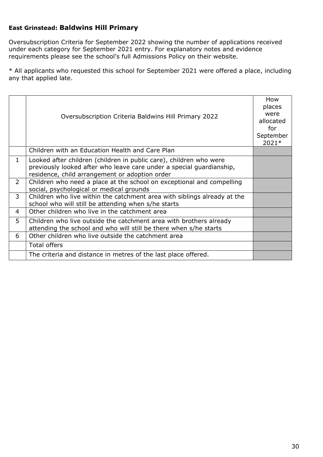#### <span id="page-29-0"></span>**East Grinstead: Baldwins Hill Primary**

Oversubscription Criteria for September 2022 showing the number of applications received under each category for September 2021 entry. For explanatory notes and evidence requirements please see the school's full Admissions Policy on their website.

|                | Oversubscription Criteria Baldwins Hill Primary 2022                                                                                                                                         | How<br>places<br>were<br>allocated<br>for<br>September<br>2021* |
|----------------|----------------------------------------------------------------------------------------------------------------------------------------------------------------------------------------------|-----------------------------------------------------------------|
|                | Children with an Education Health and Care Plan                                                                                                                                              |                                                                 |
| 1              | Looked after children (children in public care), children who were<br>previously looked after who leave care under a special quardianship,<br>residence, child arrangement or adoption order |                                                                 |
| $\overline{2}$ | Children who need a place at the school on exceptional and compelling<br>social, psychological or medical grounds                                                                            |                                                                 |
| 3              | Children who live within the catchment area with siblings already at the<br>school who will still be attending when s/he starts                                                              |                                                                 |
| 4              | Other children who live in the catchment area                                                                                                                                                |                                                                 |
| 5              | Children who live outside the catchment area with brothers already<br>attending the school and who will still be there when s/he starts                                                      |                                                                 |
| 6              | Other children who live outside the catchment area                                                                                                                                           |                                                                 |
|                | <b>Total offers</b>                                                                                                                                                                          |                                                                 |
|                | The criteria and distance in metres of the last place offered.                                                                                                                               |                                                                 |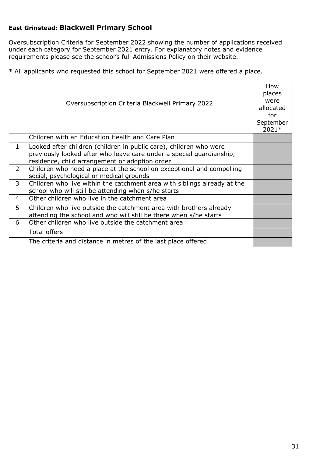#### <span id="page-30-0"></span>**East Grinstead: Blackwell Primary School**

Oversubscription Criteria for September 2022 showing the number of applications received under each category for September 2021 entry. For explanatory notes and evidence requirements please see the school's full Admissions Policy on their website.

|                | Oversubscription Criteria Blackwell Primary 2022                                                                                                                                             | How<br>places<br>were<br>allocated<br>for<br>September<br>2021* |
|----------------|----------------------------------------------------------------------------------------------------------------------------------------------------------------------------------------------|-----------------------------------------------------------------|
|                | Children with an Education Health and Care Plan                                                                                                                                              |                                                                 |
| $\mathbf{1}$   | Looked after children (children in public care), children who were<br>previously looked after who leave care under a special quardianship,<br>residence, child arrangement or adoption order |                                                                 |
| $\overline{2}$ | Children who need a place at the school on exceptional and compelling<br>social, psychological or medical grounds                                                                            |                                                                 |
| 3              | Children who live within the catchment area with siblings already at the<br>school who will still be attending when s/he starts                                                              |                                                                 |
| 4              | Other children who live in the catchment area                                                                                                                                                |                                                                 |
| 5              | Children who live outside the catchment area with brothers already<br>attending the school and who will still be there when s/he starts                                                      |                                                                 |
| 6              | Other children who live outside the catchment area                                                                                                                                           |                                                                 |
|                | Total offers                                                                                                                                                                                 |                                                                 |
|                | The criteria and distance in metres of the last place offered.                                                                                                                               |                                                                 |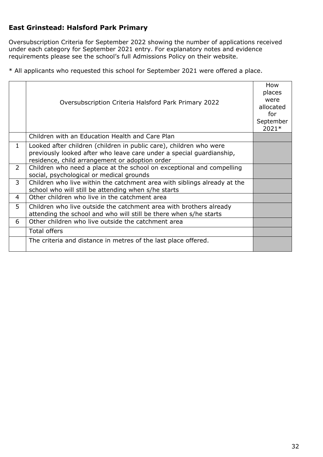### <span id="page-31-0"></span>**East Grinstead: Halsford Park Primary**

Oversubscription Criteria for September 2022 showing the number of applications received under each category for September 2021 entry. For explanatory notes and evidence requirements please see the school's full Admissions Policy on their website.

|                | Oversubscription Criteria Halsford Park Primary 2022                                                                                                                                         | How<br>places<br>were<br>allocated<br>for<br>September<br>2021* |
|----------------|----------------------------------------------------------------------------------------------------------------------------------------------------------------------------------------------|-----------------------------------------------------------------|
|                | Children with an Education Health and Care Plan                                                                                                                                              |                                                                 |
| $\mathbf{1}$   | Looked after children (children in public care), children who were<br>previously looked after who leave care under a special guardianship,<br>residence, child arrangement or adoption order |                                                                 |
| $\overline{2}$ | Children who need a place at the school on exceptional and compelling<br>social, psychological or medical grounds                                                                            |                                                                 |
| 3              | Children who live within the catchment area with siblings already at the<br>school who will still be attending when s/he starts                                                              |                                                                 |
| 4              | Other children who live in the catchment area                                                                                                                                                |                                                                 |
| 5              | Children who live outside the catchment area with brothers already<br>attending the school and who will still be there when s/he starts                                                      |                                                                 |
| 6              | Other children who live outside the catchment area                                                                                                                                           |                                                                 |
|                | <b>Total offers</b>                                                                                                                                                                          |                                                                 |
|                | The criteria and distance in metres of the last place offered.                                                                                                                               |                                                                 |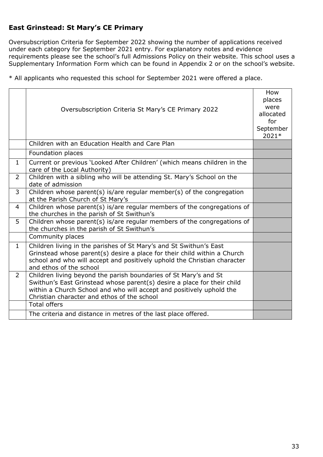### <span id="page-32-0"></span>**East Grinstead: St Mary's CE Primary**

Oversubscription Criteria for September 2022 showing the number of applications received under each category for September 2021 entry. For explanatory notes and evidence requirements please see the school's full Admissions Policy on their website. This school uses a Supplementary Information Form which can be found in Appendix 2 or on the school's website.

|                | Oversubscription Criteria St Mary's CE Primary 2022                                                                                                                                                                                                                | How<br>places<br>were<br>allocated<br>for<br>September<br>2021* |
|----------------|--------------------------------------------------------------------------------------------------------------------------------------------------------------------------------------------------------------------------------------------------------------------|-----------------------------------------------------------------|
|                | Children with an Education Health and Care Plan                                                                                                                                                                                                                    |                                                                 |
|                | Foundation places                                                                                                                                                                                                                                                  |                                                                 |
| $\mathbf{1}$   | Current or previous 'Looked After Children' (which means children in the<br>care of the Local Authority)                                                                                                                                                           |                                                                 |
| $\overline{2}$ | Children with a sibling who will be attending St. Mary's School on the<br>date of admission                                                                                                                                                                        |                                                                 |
| $\overline{3}$ | Children whose parent(s) is/are regular member(s) of the congregation<br>at the Parish Church of St Mary's                                                                                                                                                         |                                                                 |
| $\overline{4}$ | Children whose parent(s) is/are regular members of the congregations of<br>the churches in the parish of St Swithun's                                                                                                                                              |                                                                 |
| 5              | Children whose parent(s) is/are regular members of the congregations of<br>the churches in the parish of St Swithun's                                                                                                                                              |                                                                 |
|                | Community places                                                                                                                                                                                                                                                   |                                                                 |
| $\mathbf{1}$   | Children living in the parishes of St Mary's and St Swithun's East<br>Grinstead whose parent(s) desire a place for their child within a Church<br>school and who will accept and positively uphold the Christian character<br>and ethos of the school              |                                                                 |
| $\overline{2}$ | Children living beyond the parish boundaries of St Mary's and St<br>Swithun's East Grinstead whose parent(s) desire a place for their child<br>within a Church School and who will accept and positively uphold the<br>Christian character and ethos of the school |                                                                 |
|                | <b>Total offers</b>                                                                                                                                                                                                                                                |                                                                 |
|                | The criteria and distance in metres of the last place offered.                                                                                                                                                                                                     |                                                                 |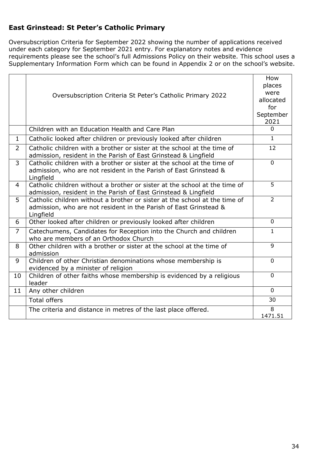### <span id="page-33-0"></span>**East Grinstead: St Peter's Catholic Primary**

Oversubscription Criteria for September 2022 showing the number of applications received under each category for September 2021 entry. For explanatory notes and evidence requirements please see the school's full Admissions Policy on their website. This school uses a Supplementary Information Form which can be found in Appendix 2 or on the school's website.

|                | Oversubscription Criteria St Peter's Catholic Primary 2022                                                                                                   | How<br>places<br>were<br>allocated<br>for<br>September<br>2021 |
|----------------|--------------------------------------------------------------------------------------------------------------------------------------------------------------|----------------------------------------------------------------|
|                | Children with an Education Health and Care Plan                                                                                                              | $\Omega$                                                       |
| $\mathbf{1}$   | Catholic looked after children or previously looked after children                                                                                           | $\mathbf{1}$                                                   |
| $\overline{2}$ | Catholic children with a brother or sister at the school at the time of<br>admission, resident in the Parish of East Grinstead & Lingfield                   | 12                                                             |
| 3              | Catholic children with a brother or sister at the school at the time of<br>admission, who are not resident in the Parish of East Grinstead &<br>Lingfield    | $\Omega$                                                       |
| 4              | Catholic children without a brother or sister at the school at the time of<br>admission, resident in the Parish of East Grinstead & Lingfield                | 5                                                              |
| 5              | Catholic children without a brother or sister at the school at the time of<br>admission, who are not resident in the Parish of East Grinstead &<br>Lingfield | $\overline{2}$                                                 |
| 6              | Other looked after children or previously looked after children                                                                                              | $\mathbf{0}$                                                   |
| $\overline{7}$ | Catechumens, Candidates for Reception into the Church and children<br>who are members of an Orthodox Church                                                  | $\mathbf{1}$                                                   |
| 8              | Other children with a brother or sister at the school at the time of<br>admission                                                                            | 9                                                              |
| 9              | Children of other Christian denominations whose membership is<br>evidenced by a minister of religion                                                         | $\mathbf{0}$                                                   |
| 10             | Children of other faiths whose membership is evidenced by a religious<br>leader                                                                              | $\Omega$                                                       |
| 11             | Any other children                                                                                                                                           | $\mathbf{0}$                                                   |
|                | <b>Total offers</b>                                                                                                                                          | 30                                                             |
|                | The criteria and distance in metres of the last place offered.                                                                                               | 8<br>1471.51                                                   |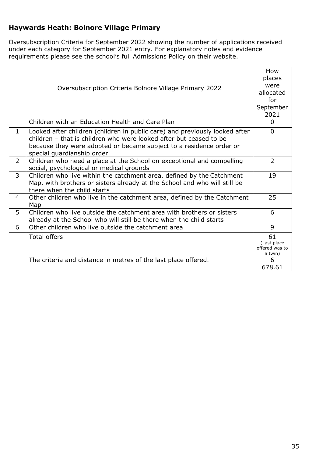### <span id="page-34-0"></span>**Haywards Heath: Bolnore Village Primary**

Oversubscription Criteria for September 2022 showing the number of applications received under each category for September 2021 entry. For explanatory notes and evidence requirements please see the school's full Admissions Policy on their website.

|                | Oversubscription Criteria Bolnore Village Primary 2022                                                                                                                                                                                                 | How<br>places<br>were<br>allocated<br>for<br>September<br>2021 |
|----------------|--------------------------------------------------------------------------------------------------------------------------------------------------------------------------------------------------------------------------------------------------------|----------------------------------------------------------------|
|                | Children with an Education Health and Care Plan                                                                                                                                                                                                        | 0                                                              |
| $\mathbf{1}$   | Looked after children (children in public care) and previously looked after<br>children - that is children who were looked after but ceased to be<br>because they were adopted or became subject to a residence order or<br>special guardianship order | $\Omega$                                                       |
| $\overline{2}$ | Children who need a place at the School on exceptional and compelling<br>social, psychological or medical grounds                                                                                                                                      | $\overline{2}$                                                 |
| 3              | Children who live within the catchment area, defined by the Catchment<br>Map, with brothers or sisters already at the School and who will still be<br>there when the child starts                                                                      | 19                                                             |
| 4              | Other children who live in the catchment area, defined by the Catchment<br>Map                                                                                                                                                                         | 25                                                             |
| 5              | Children who live outside the catchment area with brothers or sisters<br>already at the School who will still be there when the child starts                                                                                                           | 6                                                              |
| 6              | Other children who live outside the catchment area                                                                                                                                                                                                     | 9                                                              |
|                | <b>Total offers</b>                                                                                                                                                                                                                                    | 61<br>(Last place<br>offered was to<br>a twin)                 |
|                | The criteria and distance in metres of the last place offered.                                                                                                                                                                                         | 6<br>678.61                                                    |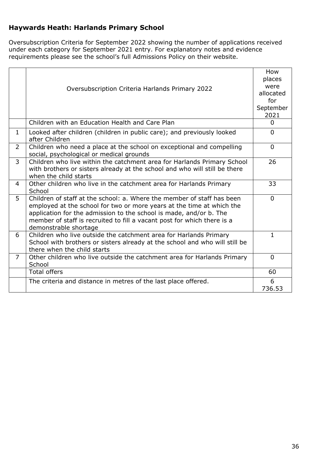### <span id="page-35-0"></span>**Haywards Heath: Harlands Primary School**

Oversubscription Criteria for September 2022 showing the number of applications received under each category for September 2021 entry. For explanatory notes and evidence requirements please see the school's full Admissions Policy on their website.

|                | Oversubscription Criteria Harlands Primary 2022                                                                                                                                                                                                                                                                           | How<br>places<br>were<br>allocated<br>for<br>September<br>2021 |
|----------------|---------------------------------------------------------------------------------------------------------------------------------------------------------------------------------------------------------------------------------------------------------------------------------------------------------------------------|----------------------------------------------------------------|
|                | Children with an Education Health and Care Plan                                                                                                                                                                                                                                                                           | $\Omega$                                                       |
| $\mathbf{1}$   | Looked after children (children in public care); and previously looked<br>after Children                                                                                                                                                                                                                                  | $\Omega$                                                       |
| $\overline{2}$ | Children who need a place at the school on exceptional and compelling<br>social, psychological or medical grounds                                                                                                                                                                                                         | $\mathbf{0}$                                                   |
| $\overline{3}$ | Children who live within the catchment area for Harlands Primary School<br>with brothers or sisters already at the school and who will still be there<br>when the child starts                                                                                                                                            | 26                                                             |
| 4              | Other children who live in the catchment area for Harlands Primary<br>School                                                                                                                                                                                                                                              | 33                                                             |
| 5              | Children of staff at the school: a. Where the member of staff has been<br>employed at the school for two or more years at the time at which the<br>application for the admission to the school is made, and/or b. The<br>member of staff is recruited to fill a vacant post for which there is a<br>demonstrable shortage | $\Omega$                                                       |
| 6              | Children who live outside the catchment area for Harlands Primary<br>School with brothers or sisters already at the school and who will still be<br>there when the child starts                                                                                                                                           | 1                                                              |
| $\overline{7}$ | Other children who live outside the catchment area for Harlands Primary<br>School                                                                                                                                                                                                                                         | $\Omega$                                                       |
|                | <b>Total offers</b>                                                                                                                                                                                                                                                                                                       | 60                                                             |
|                | The criteria and distance in metres of the last place offered.                                                                                                                                                                                                                                                            | 6<br>736.53                                                    |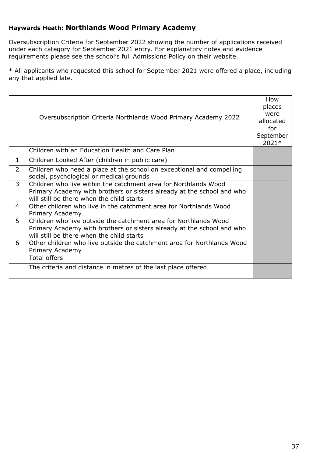#### <span id="page-36-0"></span>**Haywards Heath: Northlands Wood Primary Academy**

Oversubscription Criteria for September 2022 showing the number of applications received under each category for September 2021 entry. For explanatory notes and evidence requirements please see the school's full Admissions Policy on their website.

|                | Oversubscription Criteria Northlands Wood Primary Academy 2022                                                                                                                          | How<br>places<br>were<br>allocated<br>for<br>September<br>2021* |
|----------------|-----------------------------------------------------------------------------------------------------------------------------------------------------------------------------------------|-----------------------------------------------------------------|
|                | Children with an Education Health and Care Plan                                                                                                                                         |                                                                 |
| $\mathbf{1}$   | Children Looked After (children in public care)                                                                                                                                         |                                                                 |
| $\overline{2}$ | Children who need a place at the school on exceptional and compelling<br>social, psychological or medical grounds                                                                       |                                                                 |
| $\mathbf{3}$   | Children who live within the catchment area for Northlands Wood<br>Primary Academy with brothers or sisters already at the school and who<br>will still be there when the child starts  |                                                                 |
| 4              | Other children who live in the catchment area for Northlands Wood<br>Primary Academy                                                                                                    |                                                                 |
| 5              | Children who live outside the catchment area for Northlands Wood<br>Primary Academy with brothers or sisters already at the school and who<br>will still be there when the child starts |                                                                 |
| 6              | Other children who live outside the catchment area for Northlands Wood<br>Primary Academy                                                                                               |                                                                 |
|                | <b>Total offers</b>                                                                                                                                                                     |                                                                 |
|                | The criteria and distance in metres of the last place offered.                                                                                                                          |                                                                 |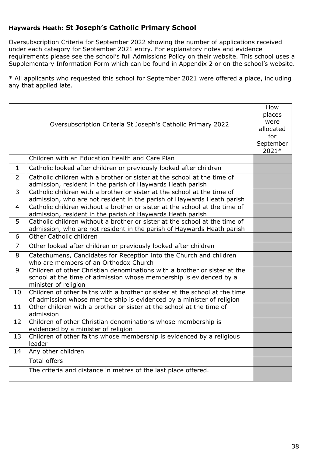#### <span id="page-37-0"></span>**Haywards Heath: St Joseph's Catholic Primary School**

Oversubscription Criteria for September 2022 showing the number of applications received under each category for September 2021 entry. For explanatory notes and evidence requirements please see the school's full Admissions Policy on their website. This school uses a Supplementary Information Form which can be found in Appendix 2 or on the school's website.

|                | Oversubscription Criteria St Joseph's Catholic Primary 2022                                                                                                             | How<br>places<br>were<br>allocated<br>for<br>September<br>2021* |
|----------------|-------------------------------------------------------------------------------------------------------------------------------------------------------------------------|-----------------------------------------------------------------|
|                | Children with an Education Health and Care Plan                                                                                                                         |                                                                 |
| $\mathbf{1}$   | Catholic looked after children or previously looked after children                                                                                                      |                                                                 |
| $\overline{2}$ | Catholic children with a brother or sister at the school at the time of<br>admission, resident in the parish of Haywards Heath parish                                   |                                                                 |
| 3              | Catholic children with a brother or sister at the school at the time of<br>admission, who are not resident in the parish of Haywards Heath parish                       |                                                                 |
| $\overline{4}$ | Catholic children without a brother or sister at the school at the time of<br>admission, resident in the parish of Haywards Heath parish                                |                                                                 |
| 5              | Catholic children without a brother or sister at the school at the time of<br>admission, who are not resident in the parish of Haywards Heath parish                    |                                                                 |
| 6              | Other Catholic children                                                                                                                                                 |                                                                 |
| $\overline{7}$ | Other looked after children or previously looked after children                                                                                                         |                                                                 |
| 8              | Catechumens, Candidates for Reception into the Church and children<br>who are members of an Orthodox Church                                                             |                                                                 |
| 9              | Children of other Christian denominations with a brother or sister at the<br>school at the time of admission whose membership is evidenced by a<br>minister of religion |                                                                 |
| 10             | Children of other faiths with a brother or sister at the school at the time<br>of admission whose membership is evidenced by a minister of religion                     |                                                                 |
| 11             | Other children with a brother or sister at the school at the time of<br>admission                                                                                       |                                                                 |
| 12             | Children of other Christian denominations whose membership is<br>evidenced by a minister of religion                                                                    |                                                                 |
| 13             | Children of other faiths whose membership is evidenced by a religious<br>leader                                                                                         |                                                                 |
| 14             | Any other children                                                                                                                                                      |                                                                 |
|                | <b>Total offers</b>                                                                                                                                                     |                                                                 |
|                | The criteria and distance in metres of the last place offered.                                                                                                          |                                                                 |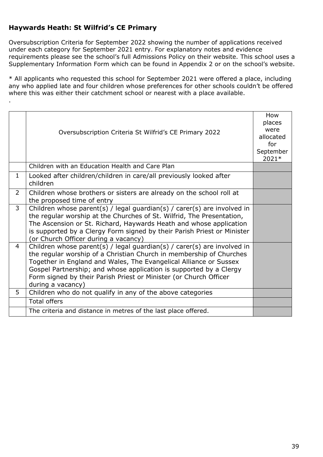### <span id="page-38-0"></span>**Haywards Heath: St Wilfrid's CE Primary**

.

Oversubscription Criteria for September 2022 showing the number of applications received under each category for September 2021 entry. For explanatory notes and evidence requirements please see the school's full Admissions Policy on their website. This school uses a Supplementary Information Form which can be found in Appendix 2 or on the school's website.

\* All applicants who requested this school for September 2021 were offered a place, including any who applied late and four children whose preferences for other schools couldn't be offered where this was either their catchment school or nearest with a place available.

|                | Oversubscription Criteria St Wilfrid's CE Primary 2022                                                                                                                                                                                                                                                                                                                              | How<br>places<br>were<br>allocated<br>for<br>September<br>2021* |
|----------------|-------------------------------------------------------------------------------------------------------------------------------------------------------------------------------------------------------------------------------------------------------------------------------------------------------------------------------------------------------------------------------------|-----------------------------------------------------------------|
|                | Children with an Education Health and Care Plan                                                                                                                                                                                                                                                                                                                                     |                                                                 |
| $\mathbf{1}$   | Looked after children/children in care/all previously looked after<br>children                                                                                                                                                                                                                                                                                                      |                                                                 |
| $\overline{2}$ | Children whose brothers or sisters are already on the school roll at<br>the proposed time of entry                                                                                                                                                                                                                                                                                  |                                                                 |
| 3              | Children whose parent(s) / legal guardian(s) / carer(s) are involved in<br>the regular worship at the Churches of St. Wilfrid, The Presentation,<br>The Ascension or St. Richard, Haywards Heath and whose application<br>is supported by a Clergy Form signed by their Parish Priest or Minister<br>(or Church Officer during a vacancy)                                           |                                                                 |
| 4              | Children whose parent(s) / legal guardian(s) / carer(s) are involved in<br>the regular worship of a Christian Church in membership of Churches<br>Together in England and Wales, The Evangelical Alliance or Sussex<br>Gospel Partnership; and whose application is supported by a Clergy<br>Form signed by their Parish Priest or Minister (or Church Officer<br>during a vacancy) |                                                                 |
| 5              | Children who do not qualify in any of the above categories                                                                                                                                                                                                                                                                                                                          |                                                                 |
|                | <b>Total offers</b>                                                                                                                                                                                                                                                                                                                                                                 |                                                                 |
|                | The criteria and distance in metres of the last place offered.                                                                                                                                                                                                                                                                                                                      |                                                                 |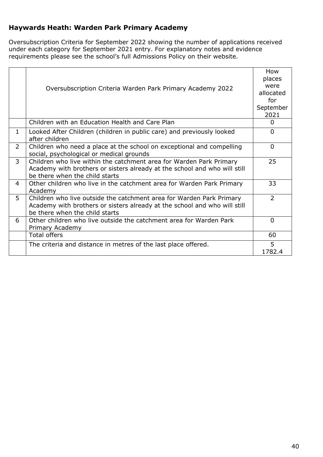### <span id="page-39-0"></span>**Haywards Heath: Warden Park Primary Academy**

Oversubscription Criteria for September 2022 showing the number of applications received under each category for September 2021 entry. For explanatory notes and evidence requirements please see the school's full Admissions Policy on their website.

|                | Oversubscription Criteria Warden Park Primary Academy 2022                                                                                                                          | How<br>places<br>were<br>allocated<br>for<br>September<br>2021 |
|----------------|-------------------------------------------------------------------------------------------------------------------------------------------------------------------------------------|----------------------------------------------------------------|
|                | Children with an Education Health and Care Plan                                                                                                                                     | $\Omega$                                                       |
| $\mathbf{1}$   | Looked After Children (children in public care) and previously looked<br>after children                                                                                             | $\Omega$                                                       |
| $\overline{2}$ | Children who need a place at the school on exceptional and compelling<br>social, psychological or medical grounds                                                                   | $\Omega$                                                       |
| $\overline{3}$ | Children who live within the catchment area for Warden Park Primary<br>Academy with brothers or sisters already at the school and who will still<br>be there when the child starts  | 25                                                             |
| 4              | Other children who live in the catchment area for Warden Park Primary<br>Academy                                                                                                    | 33                                                             |
| 5              | Children who live outside the catchment area for Warden Park Primary<br>Academy with brothers or sisters already at the school and who will still<br>be there when the child starts | $\overline{2}$                                                 |
| 6              | Other children who live outside the catchment area for Warden Park<br>Primary Academy                                                                                               | 0                                                              |
|                | <b>Total offers</b>                                                                                                                                                                 | 60                                                             |
|                | The criteria and distance in metres of the last place offered.                                                                                                                      | 5<br>1782.4                                                    |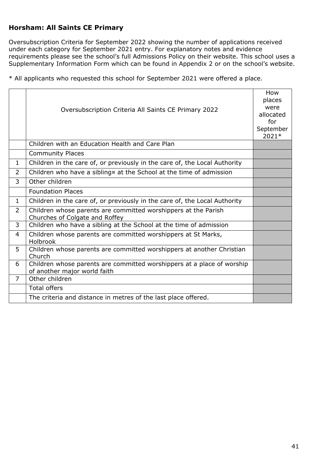### <span id="page-40-0"></span>**Horsham: All Saints CE Primary**

Oversubscription Criteria for September 2022 showing the number of applications received under each category for September 2021 entry. For explanatory notes and evidence requirements please see the school's full Admissions Policy on their website. This school uses a Supplementary Information Form which can be found in Appendix 2 or on the school's website.

|                | Oversubscription Criteria All Saints CE Primary 2022                                                   | How<br>places<br>were<br>allocated<br>for<br>September<br>2021* |
|----------------|--------------------------------------------------------------------------------------------------------|-----------------------------------------------------------------|
|                | Children with an Education Health and Care Plan                                                        |                                                                 |
|                | <b>Community Places</b>                                                                                |                                                                 |
| $\mathbf{1}$   | Children in the care of, or previously in the care of, the Local Authority                             |                                                                 |
| $\overline{2}$ | Children who have a sibling x at the School at the time of admission                                   |                                                                 |
| 3              | Other children                                                                                         |                                                                 |
|                | <b>Foundation Places</b>                                                                               |                                                                 |
| $\mathbf{1}$   | Children in the care of, or previously in the care of, the Local Authority                             |                                                                 |
| $\overline{2}$ | Children whose parents are committed worshippers at the Parish<br>Churches of Colgate and Roffey       |                                                                 |
| 3              | Children who have a sibling at the School at the time of admission                                     |                                                                 |
| $\overline{4}$ | Children whose parents are committed worshippers at St Marks,<br><b>Holbrook</b>                       |                                                                 |
| 5              | Children whose parents are committed worshippers at another Christian<br>Church                        |                                                                 |
| 6              | Children whose parents are committed worshippers at a place of worship<br>of another major world faith |                                                                 |
| $\overline{7}$ | Other children                                                                                         |                                                                 |
|                | <b>Total offers</b>                                                                                    |                                                                 |
|                | The criteria and distance in metres of the last place offered.                                         |                                                                 |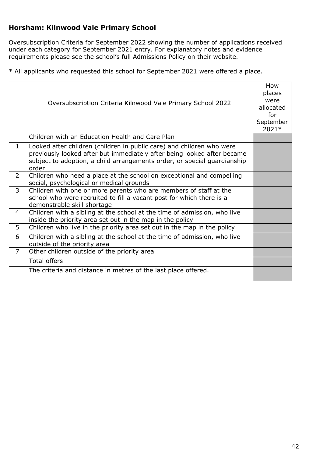### <span id="page-41-0"></span>**Horsham: Kilnwood Vale Primary School**

Oversubscription Criteria for September 2022 showing the number of applications received under each category for September 2021 entry. For explanatory notes and evidence requirements please see the school's full Admissions Policy on their website.

|                | Oversubscription Criteria Kilnwood Vale Primary School 2022                                                                                                                                                                           | How<br>places<br>were<br>allocated<br>for<br>September<br>2021* |
|----------------|---------------------------------------------------------------------------------------------------------------------------------------------------------------------------------------------------------------------------------------|-----------------------------------------------------------------|
|                | Children with an Education Health and Care Plan                                                                                                                                                                                       |                                                                 |
| $\mathbf{1}$   | Looked after children (children in public care) and children who were<br>previously looked after but immediately after being looked after became<br>subject to adoption, a child arrangements order, or special guardianship<br>order |                                                                 |
| $\overline{2}$ | Children who need a place at the school on exceptional and compelling<br>social, psychological or medical grounds                                                                                                                     |                                                                 |
| 3              | Children with one or more parents who are members of staff at the<br>school who were recruited to fill a vacant post for which there is a<br>demonstrable skill shortage                                                              |                                                                 |
| 4              | Children with a sibling at the school at the time of admission, who live<br>inside the priority area set out in the map in the policy                                                                                                 |                                                                 |
| 5              | Children who live in the priority area set out in the map in the policy                                                                                                                                                               |                                                                 |
| 6              | Children with a sibling at the school at the time of admission, who live<br>outside of the priority area                                                                                                                              |                                                                 |
| $\overline{7}$ | Other children outside of the priority area                                                                                                                                                                                           |                                                                 |
|                | <b>Total offers</b>                                                                                                                                                                                                                   |                                                                 |
|                | The criteria and distance in metres of the last place offered.                                                                                                                                                                        |                                                                 |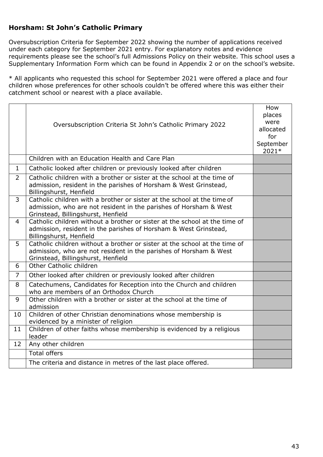#### <span id="page-42-0"></span>**Horsham: St John's Catholic Primary**

Oversubscription Criteria for September 2022 showing the number of applications received under each category for September 2021 entry. For explanatory notes and evidence requirements please see the school's full Admissions Policy on their website. This school uses a Supplementary Information Form which can be found in Appendix 2 or on the school's website.

\* All applicants who requested this school for September 2021 were offered a place and four children whose preferences for other schools couldn't be offered where this was either their catchment school or nearest with a place available.

|                | Oversubscription Criteria St John's Catholic Primary 2022                                                                                                                             | How<br>places<br>were<br>allocated<br>for<br>September<br>2021* |
|----------------|---------------------------------------------------------------------------------------------------------------------------------------------------------------------------------------|-----------------------------------------------------------------|
|                | Children with an Education Health and Care Plan                                                                                                                                       |                                                                 |
| $\mathbf{1}$   | Catholic looked after children or previously looked after children                                                                                                                    |                                                                 |
| $\overline{2}$ | Catholic children with a brother or sister at the school at the time of<br>admission, resident in the parishes of Horsham & West Grinstead,<br>Billingshurst, Henfield                |                                                                 |
| $\overline{3}$ | Catholic children with a brother or sister at the school at the time of<br>admission, who are not resident in the parishes of Horsham & West<br>Grinstead, Billingshurst, Henfield    |                                                                 |
| $\overline{4}$ | Catholic children without a brother or sister at the school at the time of<br>admission, resident in the parishes of Horsham & West Grinstead,<br>Billingshurst, Henfield             |                                                                 |
| 5              | Catholic children without a brother or sister at the school at the time of<br>admission, who are not resident in the parishes of Horsham & West<br>Grinstead, Billingshurst, Henfield |                                                                 |
| 6              | Other Catholic children                                                                                                                                                               |                                                                 |
| $\overline{7}$ | Other looked after children or previously looked after children                                                                                                                       |                                                                 |
| 8              | Catechumens, Candidates for Reception into the Church and children<br>who are members of an Orthodox Church                                                                           |                                                                 |
| 9              | Other children with a brother or sister at the school at the time of<br>admission                                                                                                     |                                                                 |
| 10             | Children of other Christian denominations whose membership is<br>evidenced by a minister of religion                                                                                  |                                                                 |
| 11             | Children of other faiths whose membership is evidenced by a religious<br>leader                                                                                                       |                                                                 |
| 12             | Any other children                                                                                                                                                                    |                                                                 |
|                | <b>Total offers</b>                                                                                                                                                                   |                                                                 |
|                | The criteria and distance in metres of the last place offered.                                                                                                                        |                                                                 |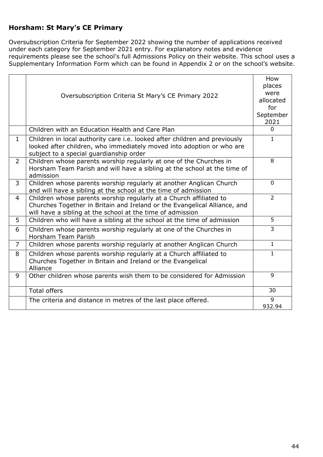### <span id="page-43-0"></span>**Horsham: St Mary's CE Primary**

Oversubscription Criteria for September 2022 showing the number of applications received under each category for September 2021 entry. For explanatory notes and evidence requirements please see the school's full Admissions Policy on their website. This school uses a Supplementary Information Form which can be found in Appendix 2 or on the school's website.

|                | Oversubscription Criteria St Mary's CE Primary 2022                                                                                                                                                           | How<br>places<br>were<br>allocated<br>for<br>September<br>2021 |
|----------------|---------------------------------------------------------------------------------------------------------------------------------------------------------------------------------------------------------------|----------------------------------------------------------------|
|                | Children with an Education Health and Care Plan                                                                                                                                                               | $\Omega$                                                       |
| $\mathbf{1}$   | Children in local authority care i.e. looked after children and previously<br>looked after children, who immediately moved into adoption or who are<br>subject to a special guardianship order                | $\mathbf{1}$                                                   |
| $\overline{2}$ | Children whose parents worship regularly at one of the Churches in<br>Horsham Team Parish and will have a sibling at the school at the time of<br>admission                                                   | 8                                                              |
| 3              | Children whose parents worship regularly at another Anglican Church<br>and will have a sibling at the school at the time of admission                                                                         | $\Omega$                                                       |
| $\overline{4}$ | Children whose parents worship regularly at a Church affiliated to<br>Churches Together in Britain and Ireland or the Evangelical Alliance, and<br>will have a sibling at the school at the time of admission | $\overline{2}$                                                 |
| 5              | Children who will have a sibling at the school at the time of admission                                                                                                                                       | 5                                                              |
| 6              | Children whose parents worship regularly at one of the Churches in<br>Horsham Team Parish                                                                                                                     | 3                                                              |
| $\overline{7}$ | Children whose parents worship regularly at another Anglican Church                                                                                                                                           | $\mathbf{1}$                                                   |
| 8              | Children whose parents worship regularly at a Church affiliated to<br>Churches Together in Britain and Ireland or the Evangelical<br>Alliance                                                                 | $\mathbf{1}$                                                   |
| 9              | Other children whose parents wish them to be considered for Admission                                                                                                                                         | 9                                                              |
|                | <b>Total offers</b>                                                                                                                                                                                           | 30                                                             |
|                | The criteria and distance in metres of the last place offered.                                                                                                                                                | 9<br>932.94                                                    |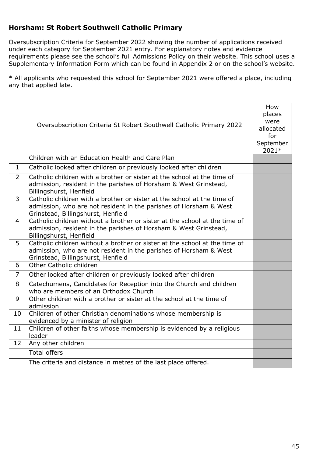### <span id="page-44-0"></span>**Horsham: St Robert Southwell Catholic Primary**

Oversubscription Criteria for September 2022 showing the number of applications received under each category for September 2021 entry. For explanatory notes and evidence requirements please see the school's full Admissions Policy on their website. This school uses a Supplementary Information Form which can be found in Appendix 2 or on the school's website.

|                | Oversubscription Criteria St Robert Southwell Catholic Primary 2022                                                                                                                   | How<br>places<br>were<br>allocated<br>for<br>September<br>2021* |
|----------------|---------------------------------------------------------------------------------------------------------------------------------------------------------------------------------------|-----------------------------------------------------------------|
|                | Children with an Education Health and Care Plan                                                                                                                                       |                                                                 |
| $\mathbf{1}$   | Catholic looked after children or previously looked after children                                                                                                                    |                                                                 |
| $\overline{2}$ | Catholic children with a brother or sister at the school at the time of<br>admission, resident in the parishes of Horsham & West Grinstead,<br>Billingshurst, Henfield                |                                                                 |
| 3              | Catholic children with a brother or sister at the school at the time of<br>admission, who are not resident in the parishes of Horsham & West<br>Grinstead, Billingshurst, Henfield    |                                                                 |
| $\overline{4}$ | Catholic children without a brother or sister at the school at the time of<br>admission, resident in the parishes of Horsham & West Grinstead,<br>Billingshurst, Henfield             |                                                                 |
| 5              | Catholic children without a brother or sister at the school at the time of<br>admission, who are not resident in the parishes of Horsham & West<br>Grinstead, Billingshurst, Henfield |                                                                 |
| 6              | Other Catholic children                                                                                                                                                               |                                                                 |
| $\overline{7}$ | Other looked after children or previously looked after children                                                                                                                       |                                                                 |
| 8              | Catechumens, Candidates for Reception into the Church and children<br>who are members of an Orthodox Church                                                                           |                                                                 |
| 9              | Other children with a brother or sister at the school at the time of<br>admission                                                                                                     |                                                                 |
| 10             | Children of other Christian denominations whose membership is<br>evidenced by a minister of religion                                                                                  |                                                                 |
| 11             | Children of other faiths whose membership is evidenced by a religious<br>leader                                                                                                       |                                                                 |
| 12             | Any other children                                                                                                                                                                    |                                                                 |
|                | <b>Total offers</b>                                                                                                                                                                   |                                                                 |
|                | The criteria and distance in metres of the last place offered.                                                                                                                        |                                                                 |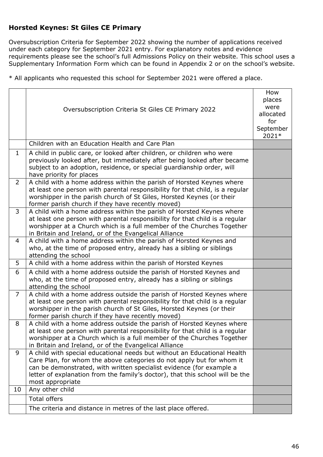#### <span id="page-45-0"></span>**Horsted Keynes: St Giles CE Primary**

Oversubscription Criteria for September 2022 showing the number of applications received under each category for September 2021 entry. For explanatory notes and evidence requirements please see the school's full Admissions Policy on their website. This school uses a Supplementary Information Form which can be found in Appendix 2 or on the school's website.

|                | Oversubscription Criteria St Giles CE Primary 2022                                                                                                                                                                                                                                                                             | How<br>places<br>were<br>allocated<br>for<br>September<br>2021* |
|----------------|--------------------------------------------------------------------------------------------------------------------------------------------------------------------------------------------------------------------------------------------------------------------------------------------------------------------------------|-----------------------------------------------------------------|
|                | Children with an Education Health and Care Plan                                                                                                                                                                                                                                                                                |                                                                 |
| $\mathbf{1}$   | A child in public care, or looked after children, or children who were<br>previously looked after, but immediately after being looked after became<br>subject to an adoption, residence, or special guardianship order, will<br>have priority for places                                                                       |                                                                 |
| $\overline{2}$ | A child with a home address within the parish of Horsted Keynes where<br>at least one person with parental responsibility for that child, is a regular<br>worshipper in the parish church of St Giles, Horsted Keynes (or their<br>former parish church if they have recently moved)                                           |                                                                 |
| 3              | A child with a home address within the parish of Horsted Keynes where<br>at least one person with parental responsibility for that child is a regular<br>worshipper at a Church which is a full member of the Churches Together<br>in Britain and Ireland, or of the Evangelical Alliance                                      |                                                                 |
| 4              | A child with a home address within the parish of Horsted Keynes and<br>who, at the time of proposed entry, already has a sibling or siblings<br>attending the school                                                                                                                                                           |                                                                 |
| 5              | A child with a home address within the parish of Horsted Keynes                                                                                                                                                                                                                                                                |                                                                 |
| 6              | A child with a home address outside the parish of Horsted Keynes and<br>who, at the time of proposed entry, already has a sibling or siblings<br>attending the school                                                                                                                                                          |                                                                 |
| $\overline{7}$ | A child with a home address outside the parish of Horsted Keynes where<br>at least one person with parental responsibility for that child is a regular<br>worshipper in the parish church of St Giles, Horsted Keynes (or their<br>former parish church if they have recently moved)                                           |                                                                 |
| 8              | A child with a home address outside the parish of Horsted Keynes where<br>at least one person with parental responsibility for that child is a regular<br>worshipper at a Church which is a full member of the Churches Together<br>in Britain and Ireland, or of the Evangelical Alliance                                     |                                                                 |
| 9              | A child with special educational needs but without an Educational Health<br>Care Plan, for whom the above categories do not apply but for whom it<br>can be demonstrated, with written specialist evidence (for example a<br>letter of explanation from the family's doctor), that this school will be the<br>most appropriate |                                                                 |
| 10             | Any other child                                                                                                                                                                                                                                                                                                                |                                                                 |
|                | <b>Total offers</b>                                                                                                                                                                                                                                                                                                            |                                                                 |
|                | The criteria and distance in metres of the last place offered.                                                                                                                                                                                                                                                                 |                                                                 |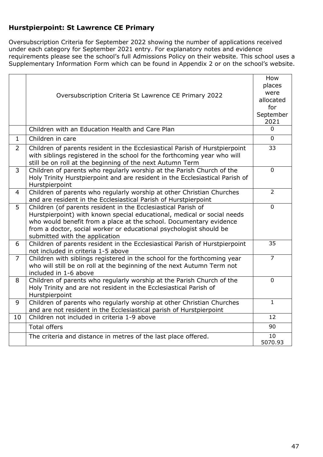### <span id="page-46-0"></span>**Hurstpierpoint: St Lawrence CE Primary**

Oversubscription Criteria for September 2022 showing the number of applications received under each category for September 2021 entry. For explanatory notes and evidence requirements please see the school's full Admissions Policy on their website. This school uses a Supplementary Information Form which can be found in Appendix 2 or on the school's website.

|                | Oversubscription Criteria St Lawrence CE Primary 2022                                                                                                                                                                                                                                                                  | How<br>places<br>were<br>allocated<br>for<br>September<br>2021 |
|----------------|------------------------------------------------------------------------------------------------------------------------------------------------------------------------------------------------------------------------------------------------------------------------------------------------------------------------|----------------------------------------------------------------|
|                | Children with an Education Health and Care Plan                                                                                                                                                                                                                                                                        | $\Omega$                                                       |
| $\mathbf{1}$   | Children in care                                                                                                                                                                                                                                                                                                       | $\Omega$                                                       |
| $\overline{2}$ | Children of parents resident in the Ecclesiastical Parish of Hurstpierpoint<br>with siblings registered in the school for the forthcoming year who will<br>still be on roll at the beginning of the next Autumn Term                                                                                                   | 33                                                             |
| 3              | Children of parents who regularly worship at the Parish Church of the<br>Holy Trinity Hurstpierpoint and are resident in the Ecclesiastical Parish of<br>Hurstpierpoint                                                                                                                                                | $\mathbf 0$                                                    |
| $\overline{4}$ | Children of parents who regularly worship at other Christian Churches<br>and are resident in the Ecclesiastical Parish of Hurstpierpoint                                                                                                                                                                               | $\overline{2}$                                                 |
| 5              | Children (of parents resident in the Ecclesiastical Parish of<br>Hurstpierpoint) with known special educational, medical or social needs<br>who would benefit from a place at the school. Documentary evidence<br>from a doctor, social worker or educational psychologist should be<br>submitted with the application | $\Omega$                                                       |
| 6              | Children of parents resident in the Ecclesiastical Parish of Hurstpierpoint<br>not included in criteria 1-5 above                                                                                                                                                                                                      | 35                                                             |
| $\overline{7}$ | Children with siblings registered in the school for the forthcoming year<br>who will still be on roll at the beginning of the next Autumn Term not<br>included in 1-6 above                                                                                                                                            | $\overline{7}$                                                 |
| 8              | Children of parents who regularly worship at the Parish Church of the<br>Holy Trinity and are not resident in the Ecclesiastical Parish of<br>Hurstpierpoint                                                                                                                                                           | $\mathbf{0}$                                                   |
| 9              | Children of parents who regularly worship at other Christian Churches<br>and are not resident in the Ecclesiastical parish of Hurstpierpoint                                                                                                                                                                           | $\mathbf{1}$                                                   |
| 10             | Children not included in criteria 1-9 above                                                                                                                                                                                                                                                                            | 12                                                             |
|                | <b>Total offers</b>                                                                                                                                                                                                                                                                                                    | 90                                                             |
|                | The criteria and distance in metres of the last place offered.                                                                                                                                                                                                                                                         | 10<br>5070.93                                                  |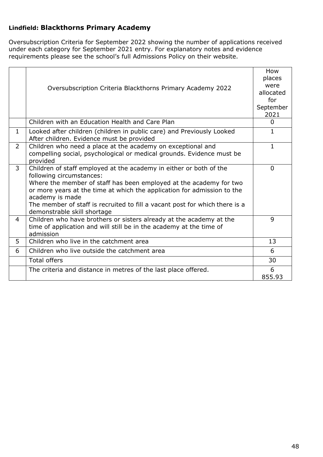### <span id="page-47-0"></span>**Lindfield: Blackthorns Primary Academy**

Oversubscription Criteria for September 2022 showing the number of applications received under each category for September 2021 entry. For explanatory notes and evidence requirements please see the school's full Admissions Policy on their website.

|                | Oversubscription Criteria Blackthorns Primary Academy 2022                                                                                                                                                                                                                                                                                                                       | How<br>places<br>were<br>allocated<br>for<br>September<br>2021 |
|----------------|----------------------------------------------------------------------------------------------------------------------------------------------------------------------------------------------------------------------------------------------------------------------------------------------------------------------------------------------------------------------------------|----------------------------------------------------------------|
|                | Children with an Education Health and Care Plan                                                                                                                                                                                                                                                                                                                                  | $\Omega$                                                       |
| $\mathbf{1}$   | Looked after children (children in public care) and Previously Looked<br>After children. Evidence must be provided                                                                                                                                                                                                                                                               | $\mathbf{1}$                                                   |
| $\overline{2}$ | Children who need a place at the academy on exceptional and<br>compelling social, psychological or medical grounds. Evidence must be<br>provided                                                                                                                                                                                                                                 | $\mathbf{1}$                                                   |
| 3              | Children of staff employed at the academy in either or both of the<br>following circumstances:<br>Where the member of staff has been employed at the academy for two<br>or more years at the time at which the application for admission to the<br>academy is made<br>The member of staff is recruited to fill a vacant post for which there is a<br>demonstrable skill shortage | $\Omega$                                                       |
| 4              | Children who have brothers or sisters already at the academy at the<br>time of application and will still be in the academy at the time of<br>admission                                                                                                                                                                                                                          | 9                                                              |
| 5              | Children who live in the catchment area                                                                                                                                                                                                                                                                                                                                          | 13                                                             |
| 6              | Children who live outside the catchment area                                                                                                                                                                                                                                                                                                                                     | 6                                                              |
|                | <b>Total offers</b>                                                                                                                                                                                                                                                                                                                                                              | 30                                                             |
|                | The criteria and distance in metres of the last place offered.                                                                                                                                                                                                                                                                                                                   | 6<br>855.93                                                    |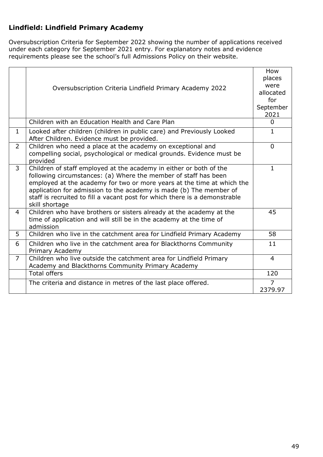### <span id="page-48-0"></span>**Lindfield: Lindfield Primary Academy**

Oversubscription Criteria for September 2022 showing the number of applications received under each category for September 2021 entry. For explanatory notes and evidence requirements please see the school's full Admissions Policy on their website.

|                | Oversubscription Criteria Lindfield Primary Academy 2022                                                                                                                                                                                                                                                                                                                              | How<br>places<br>were<br>allocated<br>for<br>September<br>2021 |
|----------------|---------------------------------------------------------------------------------------------------------------------------------------------------------------------------------------------------------------------------------------------------------------------------------------------------------------------------------------------------------------------------------------|----------------------------------------------------------------|
| $\mathbf{1}$   | Children with an Education Health and Care Plan                                                                                                                                                                                                                                                                                                                                       | $\Omega$<br>$\mathbf{1}$                                       |
|                | Looked after children (children in public care) and Previously Looked<br>After Children. Evidence must be provided.                                                                                                                                                                                                                                                                   |                                                                |
| $\overline{2}$ | Children who need a place at the academy on exceptional and<br>compelling social, psychological or medical grounds. Evidence must be<br>provided                                                                                                                                                                                                                                      | $\Omega$                                                       |
| 3              | Children of staff employed at the academy in either or both of the<br>following circumstances: (a) Where the member of staff has been<br>employed at the academy for two or more years at the time at which the<br>application for admission to the academy is made (b) The member of<br>staff is recruited to fill a vacant post for which there is a demonstrable<br>skill shortage | $\mathbf{1}$                                                   |
| 4              | Children who have brothers or sisters already at the academy at the<br>time of application and will still be in the academy at the time of<br>admission                                                                                                                                                                                                                               | 45                                                             |
| 5              | Children who live in the catchment area for Lindfield Primary Academy                                                                                                                                                                                                                                                                                                                 | 58                                                             |
| 6              | Children who live in the catchment area for Blackthorns Community<br>Primary Academy                                                                                                                                                                                                                                                                                                  | 11                                                             |
| $\overline{7}$ | Children who live outside the catchment area for Lindfield Primary<br>Academy and Blackthorns Community Primary Academy                                                                                                                                                                                                                                                               | 4                                                              |
|                | <b>Total offers</b>                                                                                                                                                                                                                                                                                                                                                                   | 120                                                            |
|                | The criteria and distance in metres of the last place offered.                                                                                                                                                                                                                                                                                                                        | $\overline{7}$                                                 |
|                |                                                                                                                                                                                                                                                                                                                                                                                       | 2379.97                                                        |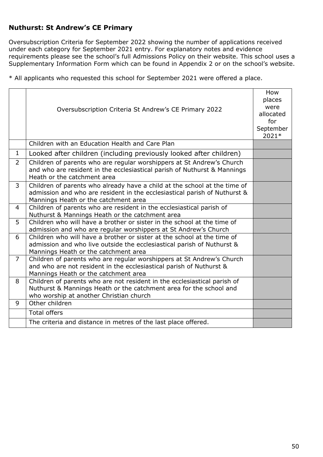### <span id="page-49-0"></span>**Nuthurst: St Andrew's CE Primary**

Oversubscription Criteria for September 2022 showing the number of applications received under each category for September 2021 entry. For explanatory notes and evidence requirements please see the school's full Admissions Policy on their website. This school uses a Supplementary Information Form which can be found in Appendix 2 or on the school's website.

|                | Oversubscription Criteria St Andrew's CE Primary 2022                                                                                                                                          | How<br>places<br>were<br>allocated<br>for<br>September<br>2021* |
|----------------|------------------------------------------------------------------------------------------------------------------------------------------------------------------------------------------------|-----------------------------------------------------------------|
|                | Children with an Education Health and Care Plan                                                                                                                                                |                                                                 |
| $\mathbf{1}$   | Looked after children (including previously looked after children)                                                                                                                             |                                                                 |
| $\overline{2}$ | Children of parents who are regular worshippers at St Andrew's Church<br>and who are resident in the ecclesiastical parish of Nuthurst & Mannings<br>Heath or the catchment area               |                                                                 |
| 3              | Children of parents who already have a child at the school at the time of<br>admission and who are resident in the ecclesiastical parish of Nuthurst &<br>Mannings Heath or the catchment area |                                                                 |
| $\overline{4}$ | Children of parents who are resident in the ecclesiastical parish of<br>Nuthurst & Mannings Heath or the catchment area                                                                        |                                                                 |
| 5              | Children who will have a brother or sister in the school at the time of<br>admission and who are regular worshippers at St Andrew's Church                                                     |                                                                 |
| 6              | Children who will have a brother or sister at the school at the time of<br>admission and who live outside the ecclesiastical parish of Nuthurst &<br>Mannings Heath or the catchment area      |                                                                 |
| $\overline{7}$ | Children of parents who are regular worshippers at St Andrew's Church<br>and who are not resident in the ecclesiastical parish of Nuthurst &<br>Mannings Heath or the catchment area           |                                                                 |
| 8              | Children of parents who are not resident in the ecclesiastical parish of<br>Nuthurst & Mannings Heath or the catchment area for the school and<br>who worship at another Christian church      |                                                                 |
| 9              | Other children                                                                                                                                                                                 |                                                                 |
|                | <b>Total offers</b>                                                                                                                                                                            |                                                                 |
|                | The criteria and distance in metres of the last place offered.                                                                                                                                 |                                                                 |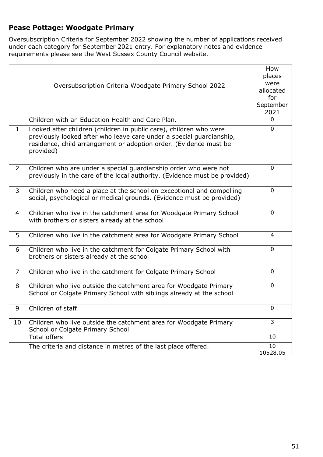### <span id="page-50-0"></span>**Pease Pottage: Woodgate Primary**

Oversubscription Criteria for September 2022 showing the number of applications received under each category for September 2021 entry. For explanatory notes and evidence requirements please see the West Sussex County Council website.

|                | Oversubscription Criteria Woodgate Primary School 2022                                                                                                                                                                       | How<br>places<br>were<br>allocated<br>for<br>September<br>2021 |
|----------------|------------------------------------------------------------------------------------------------------------------------------------------------------------------------------------------------------------------------------|----------------------------------------------------------------|
|                | Children with an Education Health and Care Plan.                                                                                                                                                                             | $\Omega$                                                       |
| $\mathbf{1}$   | Looked after children (children in public care), children who were<br>previously looked after who leave care under a special guardianship,<br>residence, child arrangement or adoption order. (Evidence must be<br>provided) | 0                                                              |
| 2              | Children who are under a special guardianship order who were not<br>previously in the care of the local authority. (Evidence must be provided)                                                                               | $\mathbf{0}$                                                   |
| 3              | Children who need a place at the school on exceptional and compelling<br>social, psychological or medical grounds. (Evidence must be provided)                                                                               | 0                                                              |
| 4              | Children who live in the catchment area for Woodgate Primary School<br>with brothers or sisters already at the school                                                                                                        | $\mathbf 0$                                                    |
| 5              | Children who live in the catchment area for Woodgate Primary School                                                                                                                                                          | 4                                                              |
| 6              | Children who live in the catchment for Colgate Primary School with<br>brothers or sisters already at the school                                                                                                              | $\mathbf 0$                                                    |
| $\overline{7}$ | Children who live in the catchment for Colgate Primary School                                                                                                                                                                | $\mathbf 0$                                                    |
| 8              | Children who live outside the catchment area for Woodgate Primary<br>School or Colgate Primary School with siblings already at the school                                                                                    | $\mathbf 0$                                                    |
| 9              | Children of staff                                                                                                                                                                                                            | $\Omega$                                                       |
| 10             | Children who live outside the catchment area for Woodgate Primary<br>School or Colgate Primary School                                                                                                                        | 3                                                              |
|                | <b>Total offers</b>                                                                                                                                                                                                          | 10                                                             |
|                | The criteria and distance in metres of the last place offered.                                                                                                                                                               | 10<br>10528.05                                                 |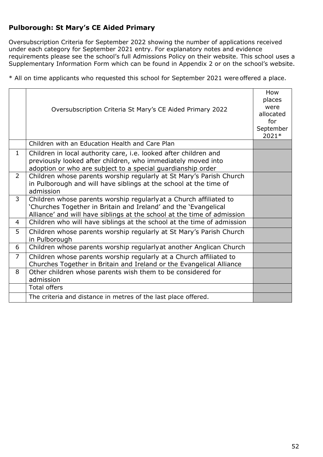### <span id="page-51-0"></span>**Pulborough: St Mary's CE Aided Primary**

Oversubscription Criteria for September 2022 showing the number of applications received under each category for September 2021 entry. For explanatory notes and evidence requirements please see the school's full Admissions Policy on their website. This school uses a Supplementary Information Form which can be found in Appendix 2 or on the school's website.

|                | Oversubscription Criteria St Mary's CE Aided Primary 2022                                                                                                                                                        | How<br>places<br>were<br>allocated<br>for<br>September<br>2021* |
|----------------|------------------------------------------------------------------------------------------------------------------------------------------------------------------------------------------------------------------|-----------------------------------------------------------------|
|                | Children with an Education Health and Care Plan                                                                                                                                                                  |                                                                 |
| $\mathbf{1}$   | Children in local authority care, <i>i.e.</i> looked after children and<br>previously looked after children, who immediately moved into<br>adoption or who are subject to a special guardianship order           |                                                                 |
| $\overline{2}$ | Children whose parents worship regularly at St Mary's Parish Church<br>in Pulborough and will have siblings at the school at the time of<br>admission                                                            |                                                                 |
| $\overline{3}$ | Children whose parents worship regularly at a Church affiliated to<br>'Churches Together in Britain and Ireland' and the 'Evangelical<br>Alliance' and will have siblings at the school at the time of admission |                                                                 |
| 4              | Children who will have siblings at the school at the time of admission                                                                                                                                           |                                                                 |
| 5              | Children whose parents worship regularly at St Mary's Parish Church<br>in Pulborough                                                                                                                             |                                                                 |
| 6              | Children whose parents worship regularly at another Anglican Church                                                                                                                                              |                                                                 |
| $\overline{7}$ | Children whose parents worship regularly at a Church affiliated to<br>Churches Together in Britain and Ireland or the Evangelical Alliance                                                                       |                                                                 |
| 8              | Other children whose parents wish them to be considered for<br>admission                                                                                                                                         |                                                                 |
|                | <b>Total offers</b>                                                                                                                                                                                              |                                                                 |
|                | The criteria and distance in metres of the last place offered.                                                                                                                                                   |                                                                 |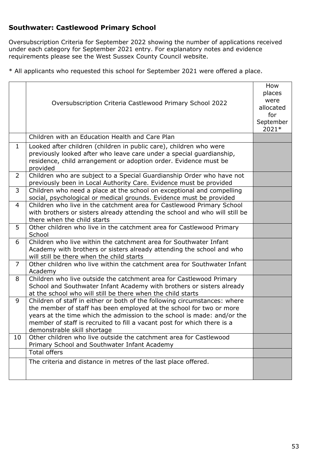### <span id="page-52-0"></span>**Southwater: Castlewood Primary School**

Oversubscription Criteria for September 2022 showing the number of applications received under each category for September 2021 entry. For explanatory notes and evidence requirements please see the West Sussex County Council website.

|                | Oversubscription Criteria Castlewood Primary School 2022                                                                                                                                                                                                                                                                              | How<br>places<br>were<br>allocated<br>for<br>September<br>2021* |
|----------------|---------------------------------------------------------------------------------------------------------------------------------------------------------------------------------------------------------------------------------------------------------------------------------------------------------------------------------------|-----------------------------------------------------------------|
|                | Children with an Education Health and Care Plan                                                                                                                                                                                                                                                                                       |                                                                 |
| $\mathbf 1$    | Looked after children (children in public care), children who were<br>previously looked after who leave care under a special quardianship,<br>residence, child arrangement or adoption order. Evidence must be<br>provided                                                                                                            |                                                                 |
| $\overline{2}$ | Children who are subject to a Special Guardianship Order who have not<br>previously been in Local Authority Care. Evidence must be provided                                                                                                                                                                                           |                                                                 |
| 3              | Children who need a place at the school on exceptional and compelling<br>social, psychological or medical grounds. Evidence must be provided                                                                                                                                                                                          |                                                                 |
| $\overline{4}$ | Children who live in the catchment area for Castlewood Primary School<br>with brothers or sisters already attending the school and who will still be<br>there when the child starts                                                                                                                                                   |                                                                 |
| 5              | Other children who live in the catchment area for Castlewood Primary<br>School                                                                                                                                                                                                                                                        |                                                                 |
| 6              | Children who live within the catchment area for Southwater Infant<br>Academy with brothers or sisters already attending the school and who<br>will still be there when the child starts                                                                                                                                               |                                                                 |
| $\overline{7}$ | Other children who live within the catchment area for Southwater Infant<br>Academy                                                                                                                                                                                                                                                    |                                                                 |
| 8              | Children who live outside the catchment area for Castlewood Primary<br>School and Southwater Infant Academy with brothers or sisters already<br>at the school who will still be there when the child starts                                                                                                                           |                                                                 |
| 9              | Children of staff in either or both of the following circumstances: where<br>the member of staff has been employed at the school for two or more<br>years at the time which the admission to the school is made: and/or the<br>member of staff is recruited to fill a vacant post for which there is a<br>demonstrable skill shortage |                                                                 |
| 10             | Other children who live outside the catchment area for Castlewood<br>Primary School and Southwater Infant Academy                                                                                                                                                                                                                     |                                                                 |
|                | <b>Total offers</b>                                                                                                                                                                                                                                                                                                                   |                                                                 |
|                | The criteria and distance in metres of the last place offered.                                                                                                                                                                                                                                                                        |                                                                 |